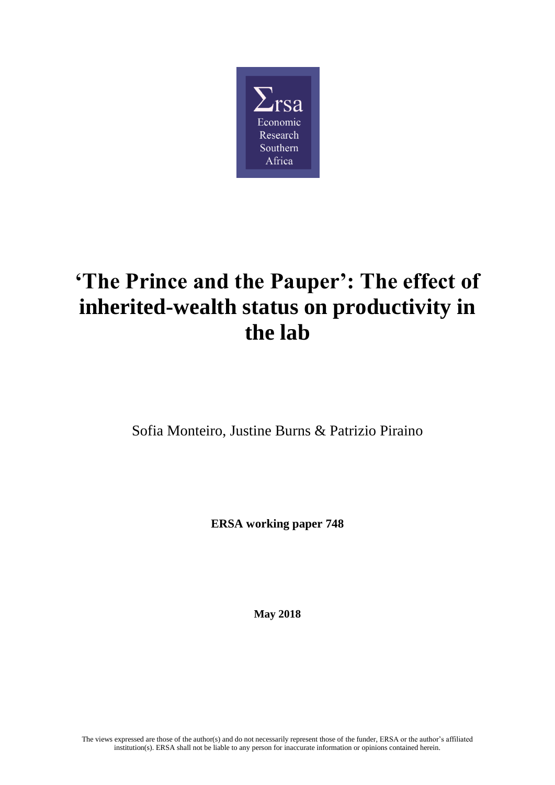

# **'The Prince and the Pauper': The effect of inherited-wealth status on productivity in the lab**

Sofia Monteiro, Justine Burns & Patrizio Piraino

**ERSA working paper 748**

**May 2018**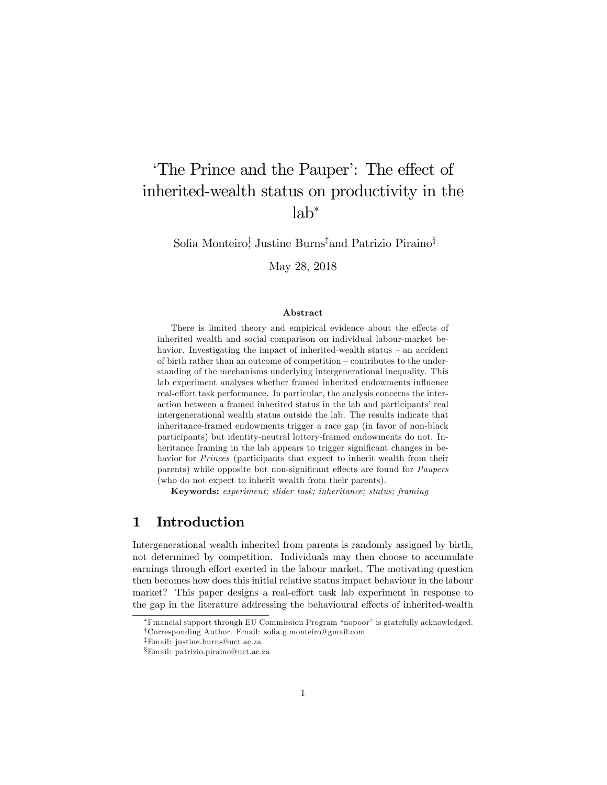## The Prince and the Pauper<sup>'</sup>: The effect of inherited-wealth status on productivity in the  $lab^*$

Sofia Monteiro! Justine Burns<sup>‡</sup>and Patrizio Piraino<sup>§</sup>

May 28, 2018

#### Abstract

There is limited theory and empirical evidence about the effects of inherited wealth and social comparison on individual labour-market behavior. Investigating the impact of inherited-wealth status  $-$  an accident of birth rather than an outcome of competition  $-$  contributes to the understanding of the mechanisms underlying intergenerational inequality. This lab experiment analyses whether framed inherited endowments influence real-effort task performance. In particular, the analysis concerns the interaction between a framed inherited status in the lab and participants' real intergenerational wealth status outside the lab. The results indicate that inheritance-framed endowments trigger a race gap (in favor of non-black participants) but identity-neutral lottery-framed endowments do not. Inheritance framing in the lab appears to trigger significant changes in behavior for Princes (participants that expect to inherit wealth from their parents) while opposite but non-significant effects are found for Paupers (who do not expect to inherit wealth from their parents).

Keywords: experiment; slider task; inheritance; status; framing

## 1 Introduction

Intergenerational wealth inherited from parents is randomly assigned by birth, not determined by competition. Individuals may then choose to accumulate earnings through effort exerted in the labour market. The motivating question then becomes how does this initial relative status impact behaviour in the labour market? This paper designs a real-effort task lab experiment in response to the gap in the literature addressing the behavioural effects of inherited-wealth

<sup>\*</sup>Financial support through EU Commission Program "nopoor" is gratefully acknowledged.  $^\dagger$ Corresponding Author. Email: sofia.g.monteiro@gmail.com

zEmail: justine.burns@uct.ac.za

xEmail: patrizio.piraino@uct.ac.za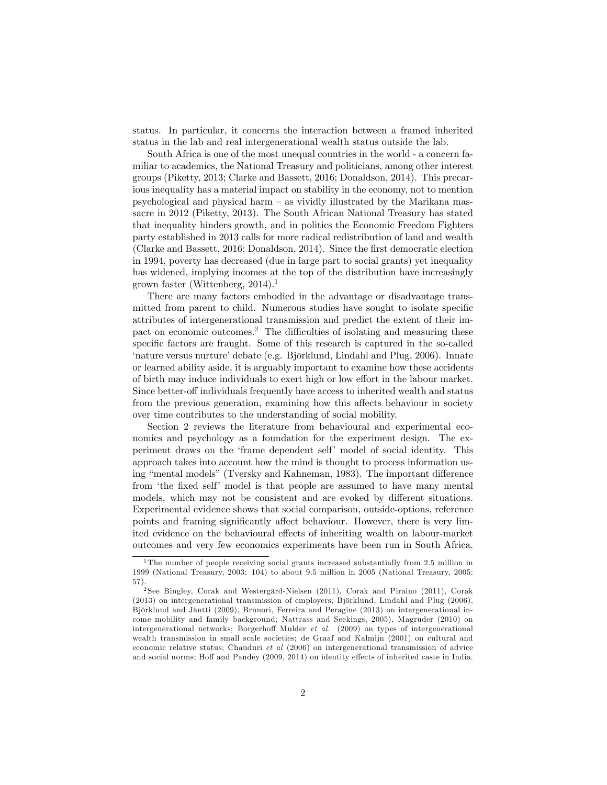status. In particular, it concerns the interaction between a framed inherited status in the lab and real intergenerational wealth status outside the lab.

South Africa is one of the most unequal countries in the world - a concern familiar to academics, the National Treasury and politicians, among other interest groups (Piketty, 2013; Clarke and Bassett, 2016; Donaldson, 2014). This precarious inequality has a material impact on stability in the economy, not to mention psychological and physical harm  $-$  as vividly illustrated by the Marikana massacre in 2012 (Piketty, 2013). The South African National Treasury has stated that inequality hinders growth, and in politics the Economic Freedom Fighters party established in 2013 calls for more radical redistribution of land and wealth (Clarke and Bassett, 2016; Donaldson, 2014). Since the Örst democratic election in 1994, poverty has decreased (due in large part to social grants) yet inequality has widened, implying incomes at the top of the distribution have increasingly grown faster (Wittenberg, 2014).<sup>1</sup>

There are many factors embodied in the advantage or disadvantage transmitted from parent to child. Numerous studies have sought to isolate specific attributes of intergenerational transmission and predict the extent of their impact on economic outcomes.<sup>2</sup> The difficulties of isolating and measuring these specific factors are fraught. Some of this research is captured in the so-called 'nature versus nurture' debate (e.g. Björklund, Lindahl and Plug, 2006). Innate or learned ability aside, it is arguably important to examine how these accidents of birth may induce individuals to exert high or low effort in the labour market. Since better-off individuals frequently have access to inherited wealth and status from the previous generation, examining how this affects behaviour in society over time contributes to the understanding of social mobility.

Section 2 reviews the literature from behavioural and experimental economics and psychology as a foundation for the experiment design. The experiment draws on the ëframe dependent selfí model of social identity. This approach takes into account how the mind is thought to process information using "mental models" (Tversky and Kahneman, 1983). The important difference from 'the fixed self' model is that people are assumed to have many mental models, which may not be consistent and are evoked by different situations. Experimental evidence shows that social comparison, outside-options, reference points and framing significantly affect behaviour. However, there is very limited evidence on the behavioural effects of inheriting wealth on labour-market outcomes and very few economics experiments have been run in South Africa.

<sup>&</sup>lt;sup>1</sup>The number of people receiving social grants increased substantially from 2.5 million in 1999 (National Treasury, 2003: 104) to about 9.5 million in 2005 (National Treasury, 2005: 57).

<sup>&</sup>lt;sup>2</sup> See Bingley, Corak and Westergärd-Nielsen (2011), Corak and Piraino (2011), Corak (2013) on intergenerational transmission of employers; Björklund, Lindahl and Plug (2006), Björklund and Jäntti (2009), Brunori, Ferreira and Peragine (2013) on intergenerational income mobility and family background; Nattrass and Seekings, 2005), Magruder (2010) on intergenerational networks; Borgerhoff Mulder *et al.* (2009) on types of intergenerational wealth transmission in small scale societies; de Graaf and Kalmijn (2001) on cultural and economic relative status; Chauduri et al (2006) on intergenerational transmission of advice and social norms; Hoff and Pandey (2009, 2014) on identity effects of inherited caste in India.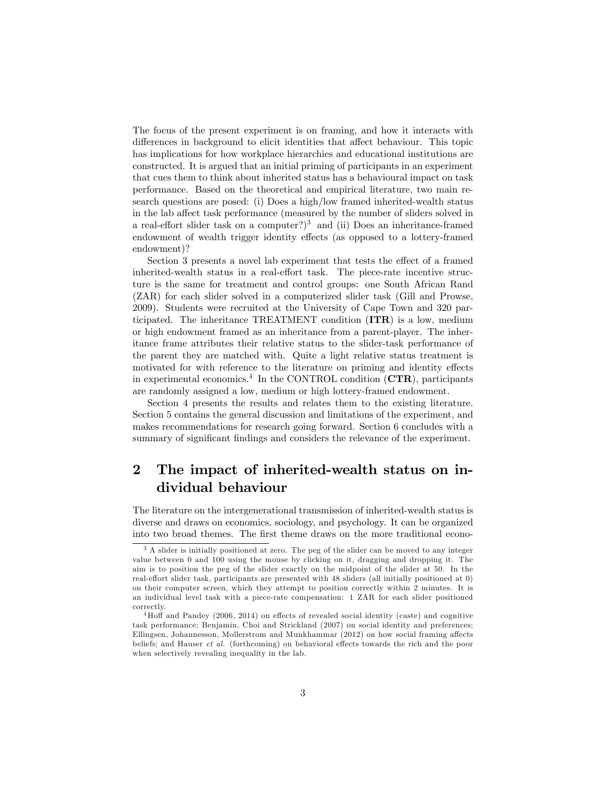The focus of the present experiment is on framing, and how it interacts with differences in background to elicit identities that affect behaviour. This topic has implications for how workplace hierarchies and educational institutions are constructed. It is argued that an initial priming of participants in an experiment that cues them to think about inherited status has a behavioural impact on task performance. Based on the theoretical and empirical literature, two main research questions are posed: (i) Does a high/low framed inherited-wealth status in the lab affect task performance (measured by the number of sliders solved in a real-effort slider task on a computer?)<sup>3</sup> and (ii) Does an inheritance-framed endowment of wealth trigger identity effects (as opposed to a lottery-framed endowment)?

Section 3 presents a novel lab experiment that tests the effect of a framed inherited-wealth status in a real-effort task. The piece-rate incentive structure is the same for treatment and control groups: one South African Rand (ZAR) for each slider solved in a computerized slider task (Gill and Prowse, 2009). Students were recruited at the University of Cape Town and 320 participated. The inheritance TREATMENT condition (ITR) is a low, medium or high endowment framed as an inheritance from a parent-player. The inheritance frame attributes their relative status to the slider-task performance of the parent they are matched with. Quite a light relative status treatment is motivated for with reference to the literature on priming and identity effects in experimental economics.<sup>4</sup> In the CONTROL condition ( $\text{CTR}$ ), participants are randomly assigned a low, medium or high lottery-framed endowment.

Section 4 presents the results and relates them to the existing literature. Section 5 contains the general discussion and limitations of the experiment, and makes recommendations for research going forward. Section 6 concludes with a summary of significant findings and considers the relevance of the experiment.

## 2 The impact of inherited-wealth status on individual behaviour

The literature on the intergenerational transmission of inherited-wealth status is diverse and draws on economics, sociology, and psychology. It can be organized into two broad themes. The first theme draws on the more traditional econo-

<sup>&</sup>lt;sup>3</sup> A slider is initially positioned at zero. The peg of the slider can be moved to any integer value between 0 and 100 using the mouse by clicking on it, dragging and dropping it. The aim is to position the peg of the slider exactly on the midpoint of the slider at 50. In the real-effort slider task, participants are presented with 48 sliders (all initially positioned at 0) on their computer screen, which they attempt to position correctly within 2 minutes. It is an individual level task with a piece-rate compensation: 1 ZAR for each slider positioned correctly.

 $4H$ off and Pandey (2006, 2014) on effects of revealed social identity (caste) and cognitive task performance; Benjamin, Choi and Strickland (2007) on social identity and preferences; Ellingsen, Johannesson, Mollerstrom and Munkhammar (2012) on how social framing affects beliefs; and Hauser *et al.* (forthcoming) on behavioral effects towards the rich and the poor when selectively revealing inequality in the lab.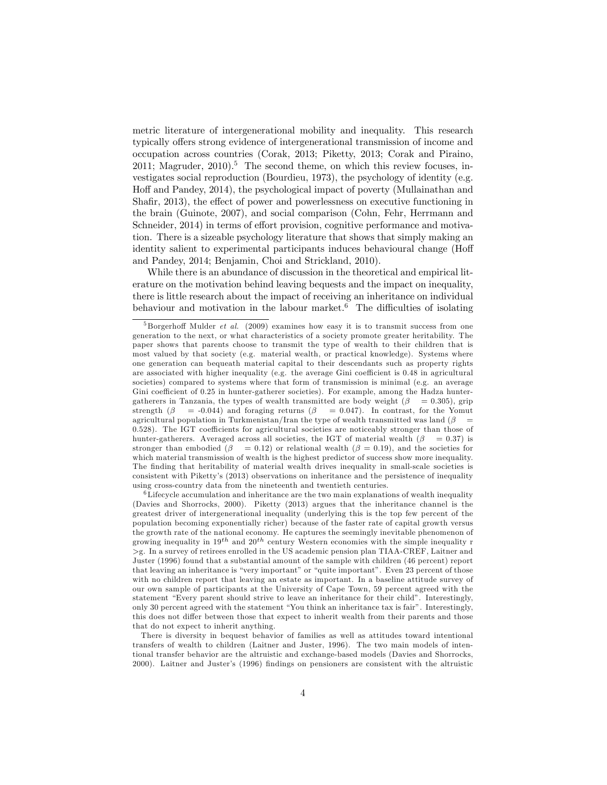metric literature of intergenerational mobility and inequality. This research typically offers strong evidence of intergenerational transmission of income and occupation across countries (Corak, 2013; Piketty, 2013; Corak and Piraino, 2011; Magruder, 2010).<sup>5</sup> The second theme, on which this review focuses, investigates social reproduction (Bourdieu, 1973), the psychology of identity (e.g. Hoff and Pandey, 2014), the psychological impact of poverty (Mullainathan and Shafir,  $2013$ ), the effect of power and powerlessness on executive functioning in the brain (Guinote, 2007), and social comparison (Cohn, Fehr, Herrmann and Schneider, 2014) in terms of effort provision, cognitive performance and motivation. There is a sizeable psychology literature that shows that simply making an identity salient to experimental participants induces behavioural change (Hoff and Pandey, 2014; Benjamin, Choi and Strickland, 2010).

While there is an abundance of discussion in the theoretical and empirical literature on the motivation behind leaving bequests and the impact on inequality, there is little research about the impact of receiving an inheritance on individual behaviour and motivation in the labour market.<sup>6</sup> The difficulties of isolating

 $5$ Borgerhoff Mulder *et al.* (2009) examines how easy it is to transmit success from one generation to the next, or what characteristics of a society promote greater heritability. The paper shows that parents choose to transmit the type of wealth to their children that is most valued by that society (e.g. material wealth, or practical knowledge). Systems where one generation can bequeath material capital to their descendants such as property rights are associated with higher inequality (e.g. the average Gini coefficient is  $0.48$  in agricultural societies) compared to systems where that form of transmission is minimal (e.g. an average Gini coefficient of 0.25 in hunter-gatherer societies). For example, among the Hadza huntergatherers in Tanzania, the types of wealth transmitted are body weight ( $\beta$  = 0.305), grip strength  $(\beta$  = -0.044) and foraging returns  $(\beta$  = 0.047). In contrast, for the Yomut agricultural population in Turkmenistan/Iran the type of wealth transmitted was land  $(\beta$  =  $0.528$ ). The IGT coefficients for agricultural societies are noticeably stronger than those of hunter-gatherers. Averaged across all societies, the IGT of material wealth  $(\beta = 0.37)$  is stronger than embodied ( $\beta = 0.12$ ) or relational wealth ( $\beta = 0.19$ ), and the societies for which material transmission of wealth is the highest predictor of success show more inequality. The finding that heritability of material wealth drives inequality in small-scale societies is consistent with Pikettyís (2013) observations on inheritance and the persistence of inequality using cross-country data from the nineteenth and twentieth centuries.

 $6$ Lifecycle accumulation and inheritance are the two main explanations of wealth inequality (Davies and Shorrocks, 2000). Piketty (2013) argues that the inheritance channel is the greatest driver of intergenerational inequality (underlying this is the top few percent of the population becoming exponentially richer) because of the faster rate of capital growth versus the growth rate of the national economy. He captures the seemingly inevitable phenomenon of growing inequality in  $19^{th}$  and  $20^{th}$  century Western economies with the simple inequality r >g. In a survey of retirees enrolled in the US academic pension plan TIAA-CREF, Laitner and Juster (1996) found that a substantial amount of the sample with children (46 percent) report that leaving an inheritance is "very important" or "quite important". Even 23 percent of those with no children report that leaving an estate as important. In a baseline attitude survey of our own sample of participants at the University of Cape Town, 59 percent agreed with the statement "Every parent should strive to leave an inheritance for their child". Interestingly, only 30 percent agreed with the statement "You think an inheritance tax is fair". Interestingly, this does not differ between those that expect to inherit wealth from their parents and those that do not expect to inherit anything.

There is diversity in bequest behavior of families as well as attitudes toward intentional transfers of wealth to children (Laitner and Juster, 1996). The two main models of intentional transfer behavior are the altruistic and exchange-based models (Davies and Shorrocks, 2000). Laitner and Juster's (1996) findings on pensioners are consistent with the altruistic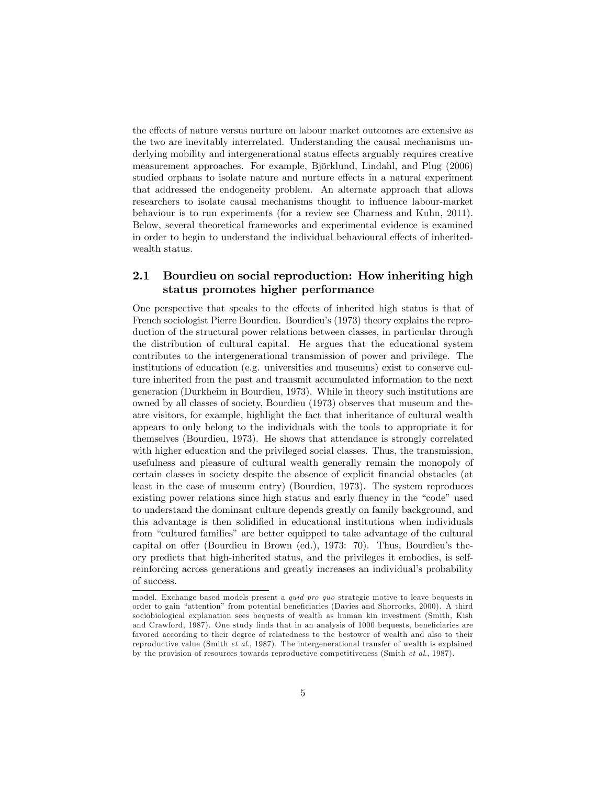the effects of nature versus nurture on labour market outcomes are extensive as the two are inevitably interrelated. Understanding the causal mechanisms underlying mobility and intergenerational status effects arguably requires creative measurement approaches. For example, Björklund, Lindahl, and Plug (2006) studied orphans to isolate nature and nurture effects in a natural experiment that addressed the endogeneity problem. An alternate approach that allows researchers to isolate causal mechanisms thought to influence labour-market behaviour is to run experiments (for a review see Charness and Kuhn, 2011). Below, several theoretical frameworks and experimental evidence is examined in order to begin to understand the individual behavioural effects of inheritedwealth status.

## 2.1 Bourdieu on social reproduction: How inheriting high status promotes higher performance

One perspective that speaks to the effects of inherited high status is that of French sociologist Pierre Bourdieu. Bourdieuís (1973) theory explains the reproduction of the structural power relations between classes, in particular through the distribution of cultural capital. He argues that the educational system contributes to the intergenerational transmission of power and privilege. The institutions of education (e.g. universities and museums) exist to conserve culture inherited from the past and transmit accumulated information to the next generation (Durkheim in Bourdieu, 1973). While in theory such institutions are owned by all classes of society, Bourdieu (1973) observes that museum and theatre visitors, for example, highlight the fact that inheritance of cultural wealth appears to only belong to the individuals with the tools to appropriate it for themselves (Bourdieu, 1973). He shows that attendance is strongly correlated with higher education and the privileged social classes. Thus, the transmission, usefulness and pleasure of cultural wealth generally remain the monopoly of certain classes in society despite the absence of explicit Önancial obstacles (at least in the case of museum entry) (Bourdieu, 1973). The system reproduces existing power relations since high status and early fluency in the "code" used to understand the dominant culture depends greatly on family background, and this advantage is then solidified in educational institutions when individuals from "cultured families" are better equipped to take advantage of the cultural capital on offer (Bourdieu in Brown (ed.), 1973: 70). Thus, Bourdieu's theory predicts that high-inherited status, and the privileges it embodies, is selfreinforcing across generations and greatly increases an individual's probability of success.

model. Exchange based models present a quid pro quo strategic motive to leave bequests in order to gain "attention" from potential beneficiaries (Davies and Shorrocks, 2000). A third sociobiological explanation sees bequests of wealth as human kin investment (Smith, Kish and Crawford, 1987). One study finds that in an analysis of 1000 bequests, beneficiaries are favored according to their degree of relatedness to the bestower of wealth and also to their reproductive value (Smith et al., 1987). The intergenerational transfer of wealth is explained by the provision of resources towards reproductive competitiveness (Smith et al., 1987).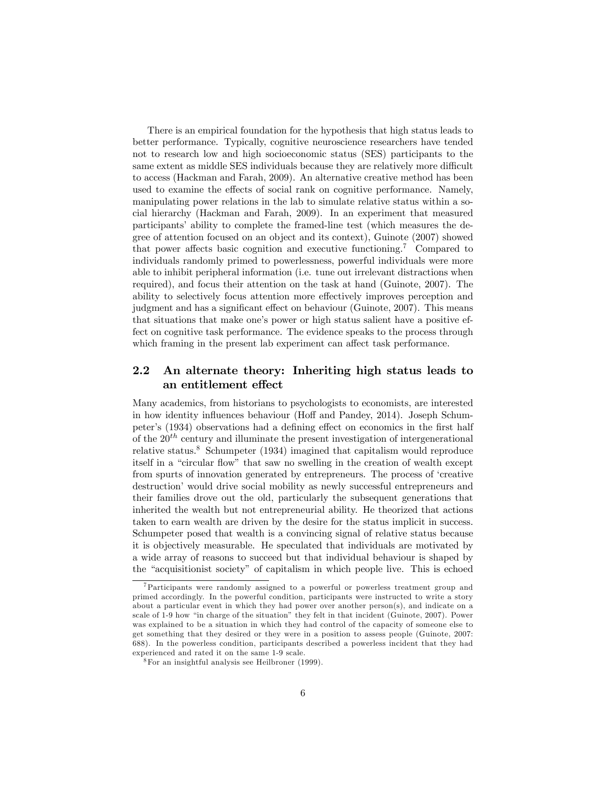There is an empirical foundation for the hypothesis that high status leads to better performance. Typically, cognitive neuroscience researchers have tended not to research low and high socioeconomic status (SES) participants to the same extent as middle SES individuals because they are relatively more difficult to access (Hackman and Farah, 2009). An alternative creative method has been used to examine the effects of social rank on cognitive performance. Namely, manipulating power relations in the lab to simulate relative status within a social hierarchy (Hackman and Farah, 2009). In an experiment that measured participants' ability to complete the framed-line test (which measures the degree of attention focused on an object and its context), Guinote (2007) showed that power affects basic cognition and executive functioning.<sup>7</sup> Compared to individuals randomly primed to powerlessness, powerful individuals were more able to inhibit peripheral information (i.e. tune out irrelevant distractions when required), and focus their attention on the task at hand (Guinote, 2007). The ability to selectively focus attention more effectively improves perception and judgment and has a significant effect on behaviour (Guinote, 2007). This means that situations that make one's power or high status salient have a positive effect on cognitive task performance. The evidence speaks to the process through which framing in the present lab experiment can affect task performance.

#### 2.2 An alternate theory: Inheriting high status leads to an entitlement effect

Many academics, from historians to psychologists to economists, are interested in how identity influences behaviour (Hoff and Pandey, 2014). Joseph Schumpeter's (1934) observations had a defining effect on economics in the first half of the  $20<sup>th</sup>$  century and illuminate the present investigation of intergenerational relative status.<sup>8</sup> Schumpeter (1934) imagined that capitalism would reproduce itself in a "circular flow" that saw no swelling in the creation of wealth except from spurts of innovation generated by entrepreneurs. The process of ëcreative destruction<sup>'</sup> would drive social mobility as newly successful entrepreneurs and their families drove out the old, particularly the subsequent generations that inherited the wealth but not entrepreneurial ability. He theorized that actions taken to earn wealth are driven by the desire for the status implicit in success. Schumpeter posed that wealth is a convincing signal of relative status because it is objectively measurable. He speculated that individuals are motivated by a wide array of reasons to succeed but that individual behaviour is shaped by the "acquisitionist society" of capitalism in which people live. This is echoed

<sup>7</sup>Participants were randomly assigned to a powerful or powerless treatment group and primed accordingly. In the powerful condition, participants were instructed to write a story about a particular event in which they had power over another person(s), and indicate on a scale of 1-9 how "in charge of the situation" they felt in that incident (Guinote,  $2007$ ). Power was explained to be a situation in which they had control of the capacity of someone else to get something that they desired or they were in a position to assess people (Guinote, 2007: 688). In the powerless condition, participants described a powerless incident that they had experienced and rated it on the same 1-9 scale.

 $8\,\mathrm{For}$  an insightful analysis see Heilbroner (1999).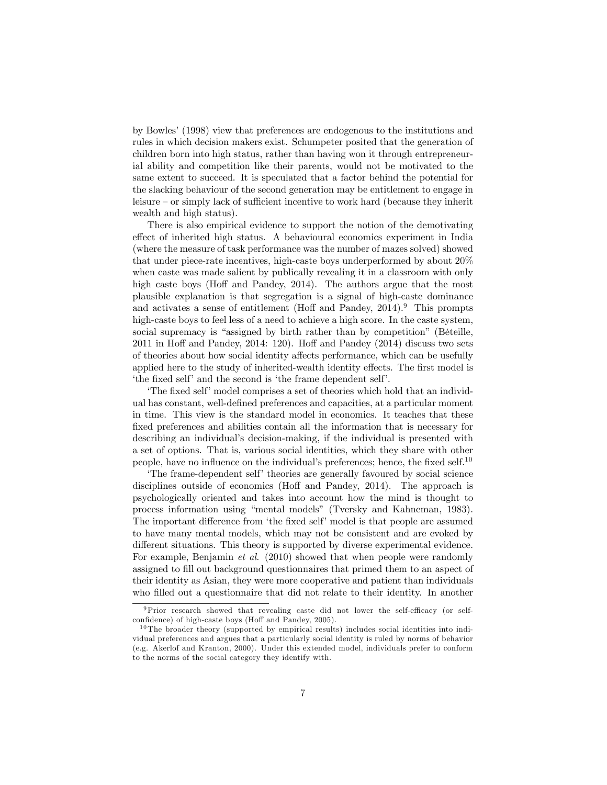by Bowlesí(1998) view that preferences are endogenous to the institutions and rules in which decision makers exist. Schumpeter posited that the generation of children born into high status, rather than having won it through entrepreneurial ability and competition like their parents, would not be motivated to the same extent to succeed. It is speculated that a factor behind the potential for the slacking behaviour of the second generation may be entitlement to engage in leisure  $-$  or simply lack of sufficient incentive to work hard (because they inherit wealth and high status).

There is also empirical evidence to support the notion of the demotivating effect of inherited high status. A behavioural economics experiment in India (where the measure of task performance was the number of mazes solved) showed that under piece-rate incentives, high-caste boys underperformed by about 20% when caste was made salient by publically revealing it in a classroom with only high caste boys (Hoff and Pandey, 2014). The authors argue that the most plausible explanation is that segregation is a signal of high-caste dominance and activates a sense of entitlement (Hoff and Pandey,  $2014$ ).<sup>9</sup> This prompts high-caste boys to feel less of a need to achieve a high score. In the caste system, social supremacy is "assigned by birth rather than by competition" (Béteille,  $2011$  in Hoff and Pandey,  $2014: 120$ . Hoff and Pandey  $(2014)$  discuss two sets of theories about how social identity affects performance, which can be usefully applied here to the study of inherited-wealth identity effects. The first model is the fixed self and the second is the frame dependent self.

The fixed self' model comprises a set of theories which hold that an individual has constant, well-deÖned preferences and capacities, at a particular moment in time. This view is the standard model in economics. It teaches that these fixed preferences and abilities contain all the information that is necessary for describing an individual's decision-making, if the individual is presented with a set of options. That is, various social identities, which they share with other people, have no influence on the individual's preferences; hence, the fixed self.<sup>10</sup>

The frame-dependent self theories are generally favoured by social science disciplines outside of economics (Hoff and Pandey, 2014). The approach is psychologically oriented and takes into account how the mind is thought to process information using "mental models" (Tversky and Kahneman, 1983). The important difference from 'the fixed self' model is that people are assumed to have many mental models, which may not be consistent and are evoked by different situations. This theory is supported by diverse experimental evidence. For example, Benjamin *et al.* (2010) showed that when people were randomly assigned to fill out background questionnaires that primed them to an aspect of their identity as Asian, they were more cooperative and patient than individuals who filled out a questionnaire that did not relate to their identity. In another

 $9$ Prior research showed that revealing caste did not lower the self-efficacy (or selfconfidence) of high-caste boys (Hoff and Pandey, 2005).

<sup>&</sup>lt;sup>10</sup> The broader theory (supported by empirical results) includes social identities into individual preferences and argues that a particularly social identity is ruled by norms of behavior (e.g. Akerlof and Kranton, 2000). Under this extended model, individuals prefer to conform to the norms of the social category they identify with.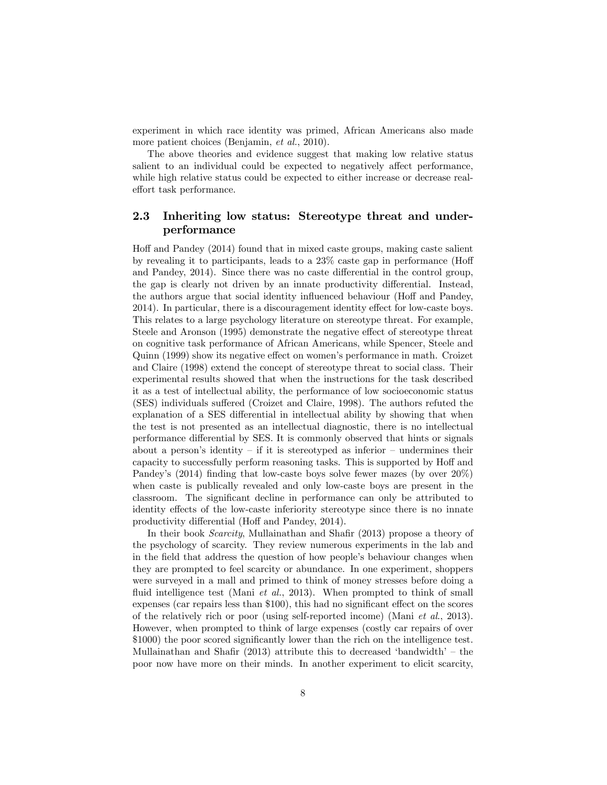experiment in which race identity was primed, African Americans also made more patient choices (Benjamin, et al., 2010).

The above theories and evidence suggest that making low relative status salient to an individual could be expected to negatively affect performance, while high relative status could be expected to either increase or decrease realeffort task performance.

## 2.3 Inheriting low status: Stereotype threat and underperformance

Hoff and Pandey  $(2014)$  found that in mixed caste groups, making caste salient by revealing it to participants, leads to a  $23\%$  caste gap in performance (Hoff and Pandey, 2014). Since there was no caste differential in the control group, the gap is clearly not driven by an innate productivity differential. Instead, the authors argue that social identity influenced behaviour (Hoff and Pandey, 2014). In particular, there is a discouragement identity effect for low-caste boys. This relates to a large psychology literature on stereotype threat. For example, Steele and Aronson (1995) demonstrate the negative effect of stereotype threat on cognitive task performance of African Americans, while Spencer, Steele and Quinn (1999) show its negative effect on women's performance in math. Croizet and Claire (1998) extend the concept of stereotype threat to social class. Their experimental results showed that when the instructions for the task described it as a test of intellectual ability, the performance of low socioeconomic status  $(SES)$  individuals suffered (Croizet and Claire, 1998). The authors refuted the explanation of a SES differential in intellectual ability by showing that when the test is not presented as an intellectual diagnostic, there is no intellectual performance differential by SES. It is commonly observed that hints or signals about a person's identity – if it is stereotyped as inferior – undermines their capacity to successfully perform reasoning tasks. This is supported by Hoff and Pandey's  $(2014)$  finding that low-caste boys solve fewer mazes (by over  $20\%)$ when caste is publically revealed and only low-caste boys are present in the classroom. The significant decline in performance can only be attributed to identity effects of the low-caste inferiority stereotype since there is no innate productivity differential (Hoff and Pandey, 2014).

In their book *Scarcity*, Mullainathan and Shafir (2013) propose a theory of the psychology of scarcity. They review numerous experiments in the lab and in the field that address the question of how people's behaviour changes when they are prompted to feel scarcity or abundance. In one experiment, shoppers were surveyed in a mall and primed to think of money stresses before doing a fluid intelligence test (Mani *et al.*, 2013). When prompted to think of small expenses (car repairs less than  $$100$ ), this had no significant effect on the scores of the relatively rich or poor (using self-reported income) (Mani et al., 2013). However, when prompted to think of large expenses (costly car repairs of over \$1000) the poor scored significantly lower than the rich on the intelligence test. Mullainathan and Shafir (2013) attribute this to decreased 'bandwidth' – the poor now have more on their minds. In another experiment to elicit scarcity,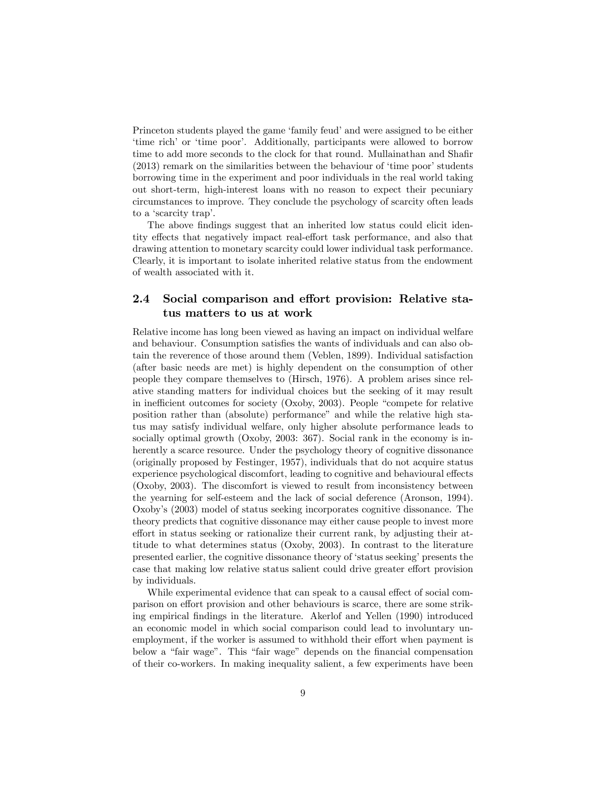Princeton students played the game 'family feud' and were assigned to be either 'time rich' or 'time poor'. Additionally, participants were allowed to borrow time to add more seconds to the clock for that round. Mullainathan and Shafir  $(2013)$  remark on the similarities between the behaviour of  $\ell$  time poor' students borrowing time in the experiment and poor individuals in the real world taking out short-term, high-interest loans with no reason to expect their pecuniary circumstances to improve. They conclude the psychology of scarcity often leads to a 'scarcity trap'.

The above findings suggest that an inherited low status could elicit identity effects that negatively impact real-effort task performance, and also that drawing attention to monetary scarcity could lower individual task performance. Clearly, it is important to isolate inherited relative status from the endowment of wealth associated with it.

## 2.4 Social comparison and effort provision: Relative status matters to us at work

Relative income has long been viewed as having an impact on individual welfare and behaviour. Consumption satisfies the wants of individuals and can also obtain the reverence of those around them (Veblen, 1899). Individual satisfaction (after basic needs are met) is highly dependent on the consumption of other people they compare themselves to (Hirsch, 1976). A problem arises since relative standing matters for individual choices but the seeking of it may result in inefficient outcomes for society (Oxoby, 2003). People "compete for relative position rather than (absolute) performance" and while the relative high status may satisfy individual welfare, only higher absolute performance leads to socially optimal growth (Oxoby, 2003: 367). Social rank in the economy is inherently a scarce resource. Under the psychology theory of cognitive dissonance (originally proposed by Festinger, 1957), individuals that do not acquire status experience psychological discomfort, leading to cognitive and behavioural effects (Oxoby, 2003). The discomfort is viewed to result from inconsistency between the yearning for self-esteem and the lack of social deference (Aronson, 1994). Oxobyís (2003) model of status seeking incorporates cognitive dissonance. The theory predicts that cognitive dissonance may either cause people to invest more effort in status seeking or rationalize their current rank, by adjusting their attitude to what determines status (Oxoby, 2003). In contrast to the literature presented earlier, the cognitive dissonance theory of 'status seeking' presents the case that making low relative status salient could drive greater effort provision by individuals.

While experimental evidence that can speak to a causal effect of social comparison on effort provision and other behaviours is scarce, there are some striking empirical findings in the literature. Akerlof and Yellen (1990) introduced an economic model in which social comparison could lead to involuntary unemployment, if the worker is assumed to withhold their effort when payment is below a "fair wage". This "fair wage" depends on the financial compensation of their co-workers. In making inequality salient, a few experiments have been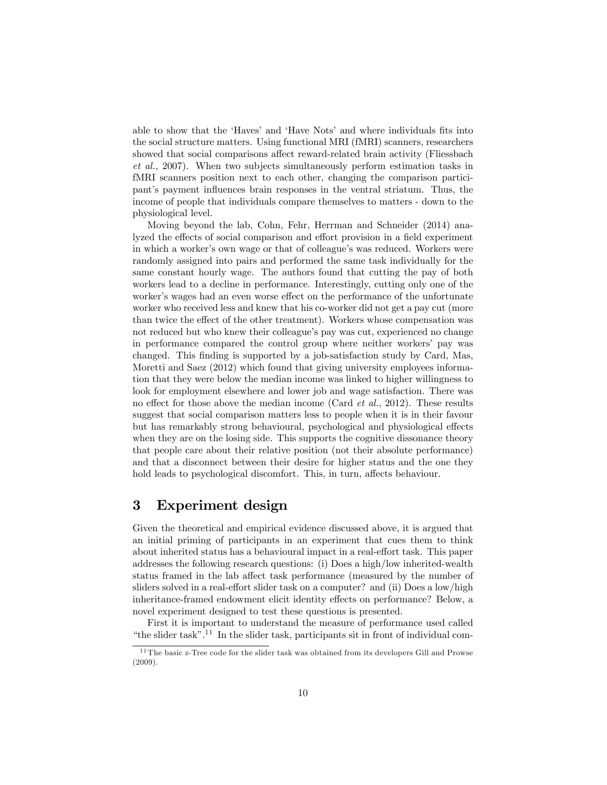able to show that the 'Haves' and 'Have Nots' and where individuals fits into the social structure matters. Using functional MRI (fMRI) scanners, researchers showed that social comparisons affect reward-related brain activity (Fliessbach et al., 2007). When two subjects simultaneously perform estimation tasks in fMRI scanners position next to each other, changing the comparison participant's payment influences brain responses in the ventral striatum. Thus, the income of people that individuals compare themselves to matters - down to the physiological level.

Moving beyond the lab, Cohn, Fehr, Herrman and Schneider (2014) analyzed the effects of social comparison and effort provision in a field experiment in which a worker's own wage or that of colleague's was reduced. Workers were randomly assigned into pairs and performed the same task individually for the same constant hourly wage. The authors found that cutting the pay of both workers lead to a decline in performance. Interestingly, cutting only one of the worker's wages had an even worse effect on the performance of the unfortunate worker who received less and knew that his co-worker did not get a pay cut (more than twice the effect of the other treatment). Workers whose compensation was not reduced but who knew their colleague's pay was cut, experienced no change in performance compared the control group where neither workers' pay was changed. This Önding is supported by a job-satisfaction study by Card, Mas, Moretti and Saez (2012) which found that giving university employees information that they were below the median income was linked to higher willingness to look for employment elsewhere and lower job and wage satisfaction. There was no effect for those above the median income (Card  $et$  al., 2012). These results suggest that social comparison matters less to people when it is in their favour but has remarkably strong behavioural, psychological and physiological effects when they are on the losing side. This supports the cognitive dissonance theory that people care about their relative position (not their absolute performance) and that a disconnect between their desire for higher status and the one they hold leads to psychological discomfort. This, in turn, affects behaviour.

## 3 Experiment design

Given the theoretical and empirical evidence discussed above, it is argued that an initial priming of participants in an experiment that cues them to think about inherited status has a behavioural impact in a real-effort task. This paper addresses the following research questions: (i) Does a high/low inherited-wealth status framed in the lab affect task performance (measured by the number of sliders solved in a real-effort slider task on a computer? and (ii) Does a low/high inheritance-framed endowment elicit identity effects on performance? Below, a novel experiment designed to test these questions is presented.

First it is important to understand the measure of performance used called "the slider task".<sup>11</sup> In the slider task, participants sit in front of individual com-

 $11$  The basic z-Tree code for the slider task was obtained from its developers Gill and Prowse (2009).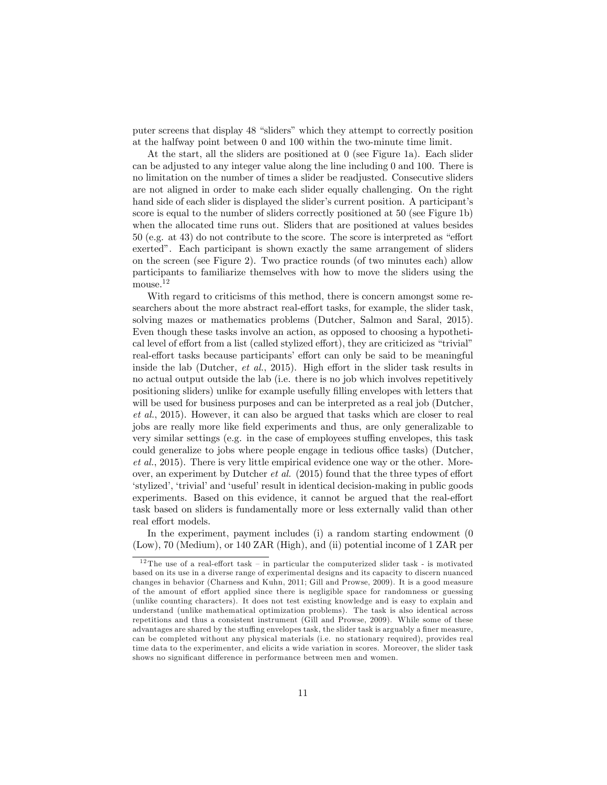puter screens that display 48 "sliders" which they attempt to correctly position at the halfway point between 0 and 100 within the two-minute time limit.

At the start, all the sliders are positioned at 0 (see Figure 1a). Each slider can be adjusted to any integer value along the line including 0 and 100. There is no limitation on the number of times a slider be readjusted. Consecutive sliders are not aligned in order to make each slider equally challenging. On the right hand side of each slider is displayed the slider's current position. A participant's score is equal to the number of sliders correctly positioned at 50 (see Figure 1b) when the allocated time runs out. Sliders that are positioned at values besides  $50$  (e.g. at 43) do not contribute to the score. The score is interpreted as "effort exerted". Each participant is shown exactly the same arrangement of sliders on the screen (see Figure 2). Two practice rounds (of two minutes each) allow participants to familiarize themselves with how to move the sliders using the mouse.<sup>12</sup>

With regard to criticisms of this method, there is concern amongst some researchers about the more abstract real-effort tasks, for example, the slider task, solving mazes or mathematics problems (Dutcher, Salmon and Saral, 2015). Even though these tasks involve an action, as opposed to choosing a hypothetical level of effort from a list (called stylized effort), they are criticized as "trivial" real-effort tasks because participants' effort can only be said to be meaningful inside the lab (Dutcher, et al., 2015). High effort in the slider task results in no actual output outside the lab (i.e. there is no job which involves repetitively positioning sliders) unlike for example usefully Ölling envelopes with letters that will be used for business purposes and can be interpreted as a real job (Dutcher, et al., 2015). However, it can also be argued that tasks which are closer to real jobs are really more like Öeld experiments and thus, are only generalizable to very similar settings (e.g. in the case of employees stuffing envelopes, this task could generalize to jobs where people engage in tedious office tasks) (Dutcher, et al., 2015). There is very little empirical evidence one way or the other. Moreover, an experiment by Dutcher *et al.* (2015) found that the three types of effort ëstylizedí, ëtrivialíand ëusefulíresult in identical decision-making in public goods experiments. Based on this evidence, it cannot be argued that the real-effort task based on sliders is fundamentally more or less externally valid than other real effort models.

In the experiment, payment includes (i) a random starting endowment (0 (Low), 70 (Medium), or 140 ZAR (High), and (ii) potential income of 1 ZAR per

<sup>&</sup>lt;sup>12</sup> The use of a real-effort task – in particular the computerized slider task - is motivated based on its use in a diverse range of experimental designs and its capacity to discern nuanced changes in behavior (Charness and Kuhn, 2011; Gill and Prowse, 2009). It is a good measure of the amount of effort applied since there is negligible space for randomness or guessing (unlike counting characters). It does not test existing knowledge and is easy to explain and understand (unlike mathematical optimization problems). The task is also identical across repetitions and thus a consistent instrument (Gill and Prowse, 2009). While some of these advantages are shared by the stuffing envelopes task, the slider task is arguably a finer measure, can be completed without any physical materials (i.e. no stationary required), provides real time data to the experimenter, and elicits a wide variation in scores. Moreover, the slider task shows no significant difference in performance between men and women.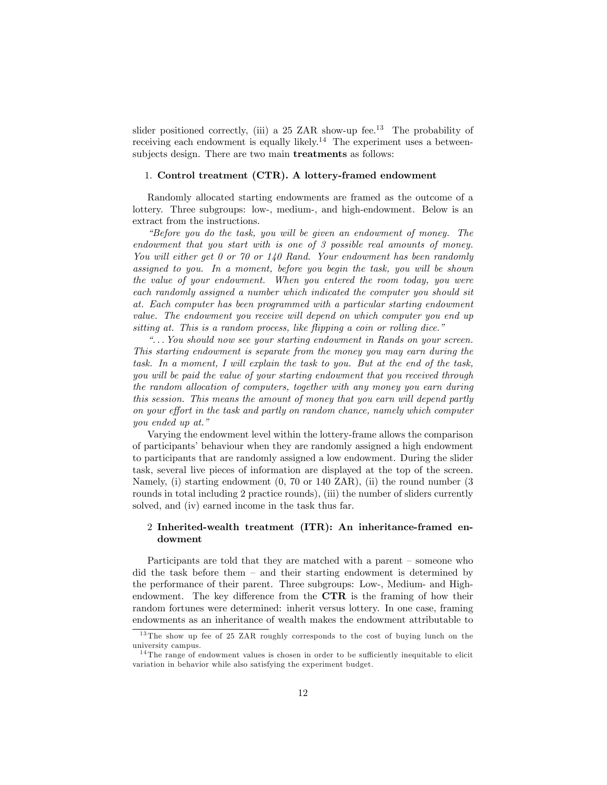slider positioned correctly, (iii) a 25 ZAR show-up fee.<sup>13</sup> The probability of receiving each endowment is equally likely.<sup>14</sup> The experiment uses a betweensubjects design. There are two main treatments as follows:

#### 1. Control treatment (CTR). A lottery-framed endowment

Randomly allocated starting endowments are framed as the outcome of a lottery. Three subgroups: low-, medium-, and high-endowment. Below is an extract from the instructions.

ìBefore you do the task, you will be given an endowment of money. The endowment that you start with is one of 3 possible real amounts of money. You will either get 0 or 70 or 140 Rand. Your endowment has been randomly assigned to you. In a moment, before you begin the task, you will be shown the value of your endowment. When you entered the room today, you were each randomly assigned a number which indicated the computer you should sit at. Each computer has been programmed with a particular starting endowment value. The endowment you receive will depend on which computer you end up sitting at. This is a random process, like flipping a coin or rolling dice."

 $\mathcal{L}$ .. You should now see your starting endowment in Rands on your screen. This starting endowment is separate from the money you may earn during the task. In a moment, I will explain the task to you. But at the end of the task, you will be paid the value of your starting endowment that you received through the random allocation of computers, together with any money you earn during this session. This means the amount of money that you earn will depend partly on your effort in the task and partly on random chance, namely which computer you ended up at."

Varying the endowment level within the lottery-frame allows the comparison of participants' behaviour when they are randomly assigned a high endowment to participants that are randomly assigned a low endowment. During the slider task, several live pieces of information are displayed at the top of the screen. Namely, (i) starting endowment (0, 70 or 140 ZAR), (ii) the round number (3 rounds in total including 2 practice rounds), (iii) the number of sliders currently solved, and (iv) earned income in the task thus far.

#### 2 Inherited-wealth treatment (ITR): An inheritance-framed endowment

Participants are told that they are matched with a parent  $-$  someone who did the task before them  $-$  and their starting endowment is determined by the performance of their parent. Three subgroups: Low-, Medium- and Highendowment. The key difference from the  $\mathbf{CTR}$  is the framing of how their random fortunes were determined: inherit versus lottery. In one case, framing endowments as an inheritance of wealth makes the endowment attributable to

<sup>13</sup> The show up fee of 25 ZAR roughly corresponds to the cost of buying lunch on the university campus.

 $14$ The range of endowment values is chosen in order to be sufficiently inequitable to elicit variation in behavior while also satisfying the experiment budget.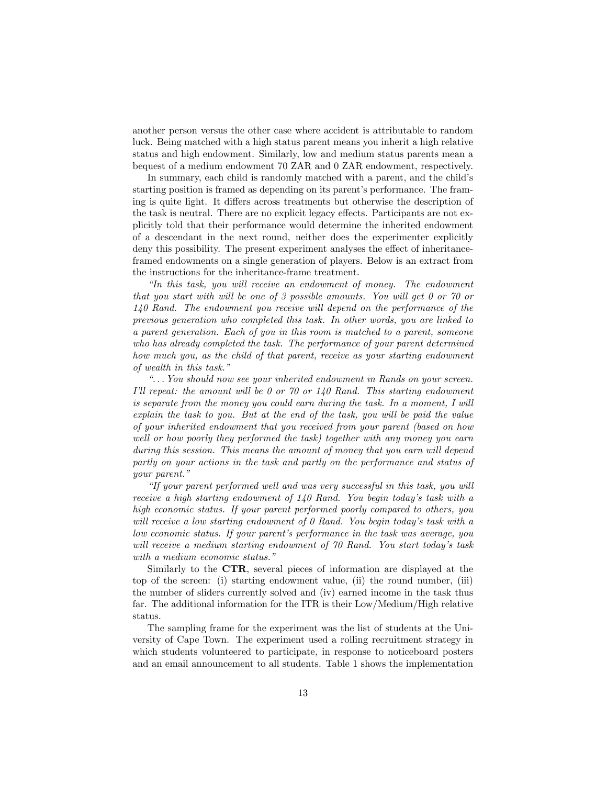another person versus the other case where accident is attributable to random luck. Being matched with a high status parent means you inherit a high relative status and high endowment. Similarly, low and medium status parents mean a bequest of a medium endowment 70 ZAR and 0 ZAR endowment, respectively.

In summary, each child is randomly matched with a parent, and the child's starting position is framed as depending on its parent's performance. The framing is quite light. It differs across treatments but otherwise the description of the task is neutral. There are no explicit legacy effects. Participants are not explicitly told that their performance would determine the inherited endowment of a descendant in the next round, neither does the experimenter explicitly deny this possibility. The present experiment analyses the effect of inheritanceframed endowments on a single generation of players. Below is an extract from the instructions for the inheritance-frame treatment.

 $\emph{``In this task, you will receive an endowment of money. The endowment of money are not a more than one of the end of the end.}$ that you start with will be one of 3 possible amounts. You will get 0 or 70 or 140 Rand. The endowment you receive will depend on the performance of the previous generation who completed this task. In other words, you are linked to a parent generation. Each of you in this room is matched to a parent, someone who has already completed the task. The performance of your parent determined how much you, as the child of that parent, receive as your starting endowment of wealth in this task."

 $\hat{a}$ ... You should now see your inherited endowment in Rands on your screen. I'll repeat: the amount will be 0 or 70 or 140 Rand. This starting endowment is separate from the money you could earn during the task. In a moment, I will explain the task to you. But at the end of the task, you will be paid the value of your inherited endowment that you received from your parent (based on how well or how poorly they performed the task) together with any money you earn during this session. This means the amount of money that you earn will depend partly on your actions in the task and partly on the performance and status of your parent."

ìIf your parent performed well and was very successful in this task, you will receive a high starting endowment of  $140$  Rand. You begin today's task with a high economic status. If your parent performed poorly compared to others, you will receive a low starting endowment of 0 Rand. You begin today's task with a low economic status. If your parentís performance in the task was average, you will receive a medium starting endowment of 70 Rand. You start today's task with a medium economic status."

Similarly to the CTR, several pieces of information are displayed at the top of the screen: (i) starting endowment value, (ii) the round number, (iii) the number of sliders currently solved and (iv) earned income in the task thus far. The additional information for the ITR is their Low/Medium/High relative status.

The sampling frame for the experiment was the list of students at the University of Cape Town. The experiment used a rolling recruitment strategy in which students volunteered to participate, in response to noticeboard posters and an email announcement to all students. Table 1 shows the implementation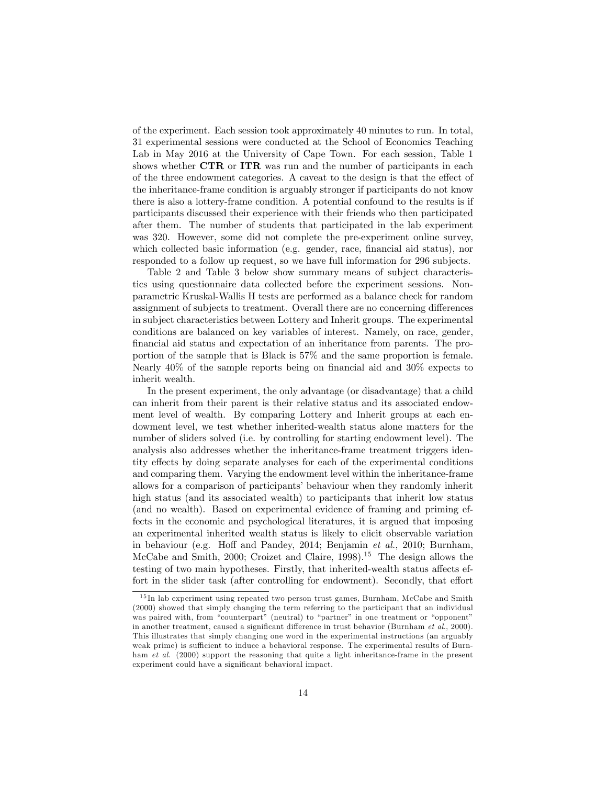of the experiment. Each session took approximately 40 minutes to run. In total, 31 experimental sessions were conducted at the School of Economics Teaching Lab in May 2016 at the University of Cape Town. For each session, Table 1 shows whether CTR or ITR was run and the number of participants in each of the three endowment categories. A caveat to the design is that the effect of the inheritance-frame condition is arguably stronger if participants do not know there is also a lottery-frame condition. A potential confound to the results is if participants discussed their experience with their friends who then participated after them. The number of students that participated in the lab experiment was 320. However, some did not complete the pre-experiment online survey, which collected basic information (e.g. gender, race, financial aid status), nor responded to a follow up request, so we have full information for 296 subjects.

Table 2 and Table 3 below show summary means of subject characteristics using questionnaire data collected before the experiment sessions. Nonparametric Kruskal-Wallis H tests are performed as a balance check for random assignment of subjects to treatment. Overall there are no concerning differences in subject characteristics between Lottery and Inherit groups. The experimental conditions are balanced on key variables of interest. Namely, on race, gender, financial aid status and expectation of an inheritance from parents. The proportion of the sample that is Black is 57% and the same proportion is female. Nearly  $40\%$  of the sample reports being on financial aid and  $30\%$  expects to inherit wealth.

In the present experiment, the only advantage (or disadvantage) that a child can inherit from their parent is their relative status and its associated endowment level of wealth. By comparing Lottery and Inherit groups at each endowment level, we test whether inherited-wealth status alone matters for the number of sliders solved (i.e. by controlling for starting endowment level). The analysis also addresses whether the inheritance-frame treatment triggers identity effects by doing separate analyses for each of the experimental conditions and comparing them. Varying the endowment level within the inheritance-frame allows for a comparison of participants' behaviour when they randomly inherit high status (and its associated wealth) to participants that inherit low status (and no wealth). Based on experimental evidence of framing and priming effects in the economic and psychological literatures, it is argued that imposing an experimental inherited wealth status is likely to elicit observable variation in behaviour (e.g. Hoff and Pandey, 2014; Benjamin et al., 2010; Burnham, McCabe and Smith, 2000; Croizet and Claire,  $1998$ <sup>15</sup> The design allows the testing of two main hypotheses. Firstly, that inherited-wealth status affects effort in the slider task (after controlling for endowment). Secondly, that effort

<sup>15</sup> In lab experiment using repeated two person trust games, Burnham, McCabe and Smith (2000) showed that simply changing the term referring to the participant that an individual was paired with, from "counterpart" (neutral) to "partner" in one treatment or "opponent" in another treatment, caused a significant difference in trust behavior (Burnham et al., 2000). This illustrates that simply changing one word in the experimental instructions (an arguably weak prime) is sufficient to induce a behavioral response. The experimental results of Burnham *et al.* (2000) support the reasoning that quite a light inheritance-frame in the present experiment could have a significant behavioral impact.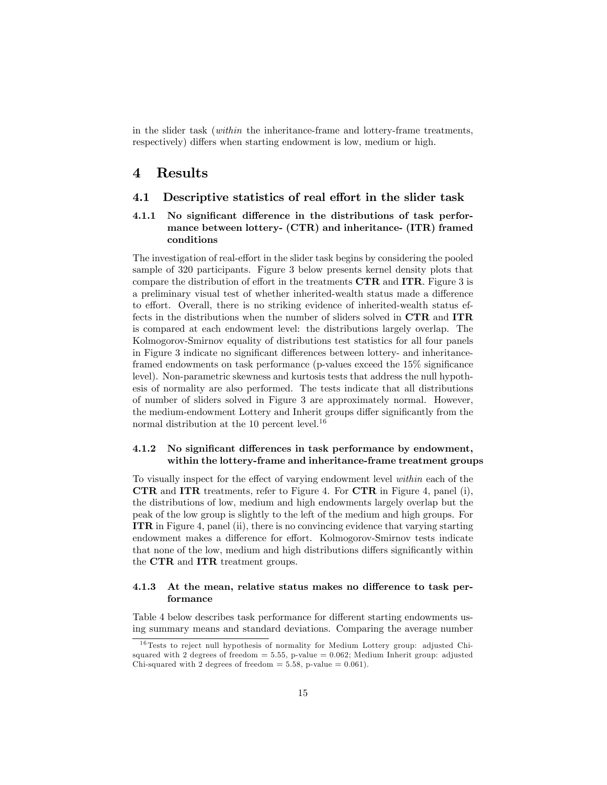in the slider task (within the inheritance-frame and lottery-frame treatments, respectively) differs when starting endowment is low, medium or high.

## 4 Results

#### 4.1 Descriptive statistics of real effort in the slider task

#### 4.1.1 No significant difference in the distributions of task performance between lottery- (CTR) and inheritance- (ITR) framed conditions

The investigation of real-effort in the slider task begins by considering the pooled sample of 320 participants. Figure 3 below presents kernel density plots that compare the distribution of effort in the treatments  $\mathbf{CTR}$  and  $\mathbf{ITR}$ . Figure 3 is a preliminary visual test of whether inherited-wealth status made a difference to effort. Overall, there is no striking evidence of inherited-wealth status effects in the distributions when the number of sliders solved in CTR and ITR is compared at each endowment level: the distributions largely overlap. The Kolmogorov-Smirnov equality of distributions test statistics for all four panels in Figure 3 indicate no significant differences between lottery- and inheritanceframed endowments on task performance (p-values exceed the  $15\%$  significance level). Non-parametric skewness and kurtosis tests that address the null hypothesis of normality are also performed. The tests indicate that all distributions of number of sliders solved in Figure 3 are approximately normal. However, the medium-endowment Lottery and Inherit groups differ significantly from the normal distribution at the 10 percent level.<sup>16</sup>

#### 4.1.2 No significant differences in task performance by endowment, within the lottery-frame and inheritance-frame treatment groups

To visually inspect for the effect of varying endowment level  $within$  each of the CTR and ITR treatments, refer to Figure 4. For CTR in Figure 4, panel (i), the distributions of low, medium and high endowments largely overlap but the peak of the low group is slightly to the left of the medium and high groups. For ITR in Figure 4, panel (ii), there is no convincing evidence that varying starting endowment makes a difference for effort. Kolmogorov-Smirnov tests indicate that none of the low, medium and high distributions differs significantly within the CTR and ITR treatment groups.

#### 4.1.3 At the mean, relative status makes no difference to task performance

Table 4 below describes task performance for different starting endowments using summary means and standard deviations. Comparing the average number

<sup>&</sup>lt;sup>16</sup> Tests to reject null hypothesis of normality for Medium Lottery group: adjusted Chisquared with 2 degrees of freedom  $= 5.55$ , p-value  $= 0.062$ ; Medium Inherit group: adjusted Chi-squared with 2 degrees of freedom  $= 5.58$ , p-value  $= 0.061$ ).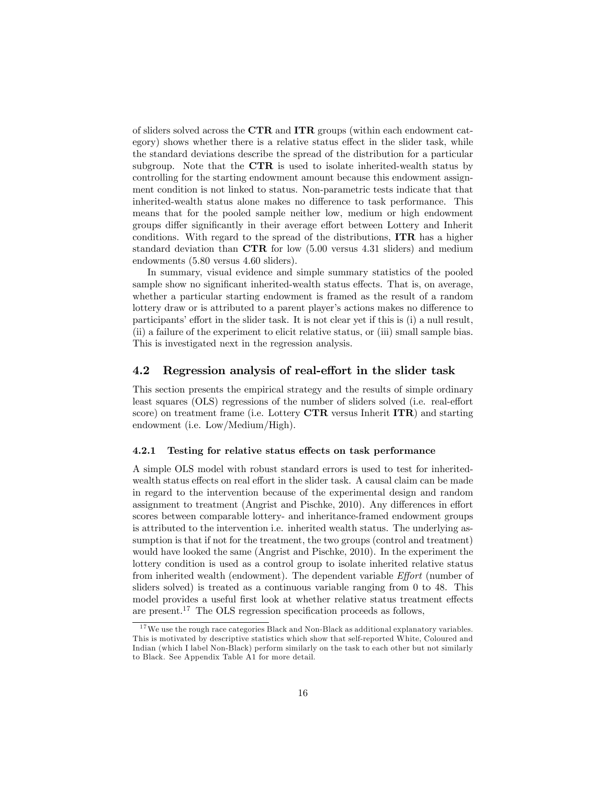of sliders solved across the CTR and ITR groups (within each endowment category) shows whether there is a relative status effect in the slider task, while the standard deviations describe the spread of the distribution for a particular subgroup. Note that the CTR is used to isolate inherited-wealth status by controlling for the starting endowment amount because this endowment assignment condition is not linked to status. Non-parametric tests indicate that that inherited-wealth status alone makes no difference to task performance. This means that for the pooled sample neither low, medium or high endowment groups differ significantly in their average effort between Lottery and Inherit conditions. With regard to the spread of the distributions, ITR has a higher standard deviation than CTR for low (5.00 versus 4.31 sliders) and medium endowments (5.80 versus 4.60 sliders).

In summary, visual evidence and simple summary statistics of the pooled sample show no significant inherited-wealth status effects. That is, on average, whether a particular starting endowment is framed as the result of a random lottery draw or is attributed to a parent player's actions makes no difference to participants' effort in the slider task. It is not clear yet if this is (i) a null result, (ii) a failure of the experiment to elicit relative status, or (iii) small sample bias. This is investigated next in the regression analysis.

#### 4.2 Regression analysis of real-effort in the slider task

This section presents the empirical strategy and the results of simple ordinary least squares (OLS) regressions of the number of sliders solved (i.e. real-effort score) on treatment frame (i.e. Lottery CTR versus Inherit ITR) and starting endowment (i.e. Low/Medium/High).

#### 4.2.1 Testing for relative status effects on task performance

A simple OLS model with robust standard errors is used to test for inheritedwealth status effects on real effort in the slider task. A causal claim can be made in regard to the intervention because of the experimental design and random assignment to treatment (Angrist and Pischke,  $2010$ ). Any differences in effort scores between comparable lottery- and inheritance-framed endowment groups is attributed to the intervention i.e. inherited wealth status. The underlying assumption is that if not for the treatment, the two groups (control and treatment) would have looked the same (Angrist and Pischke, 2010). In the experiment the lottery condition is used as a control group to isolate inherited relative status from inherited wealth (endowment). The dependent variable  $Effort$  (number of sliders solved) is treated as a continuous variable ranging from 0 to 48. This model provides a useful first look at whether relative status treatment effects are present.<sup>17</sup> The OLS regression specification proceeds as follows,

 $17$ We use the rough race categories Black and Non-Black as additional explanatory variables. This is motivated by descriptive statistics which show that self-reported White, Coloured and Indian (which I label Non-Black) perform similarly on the task to each other but not similarly to Black. See Appendix Table A1 for more detail.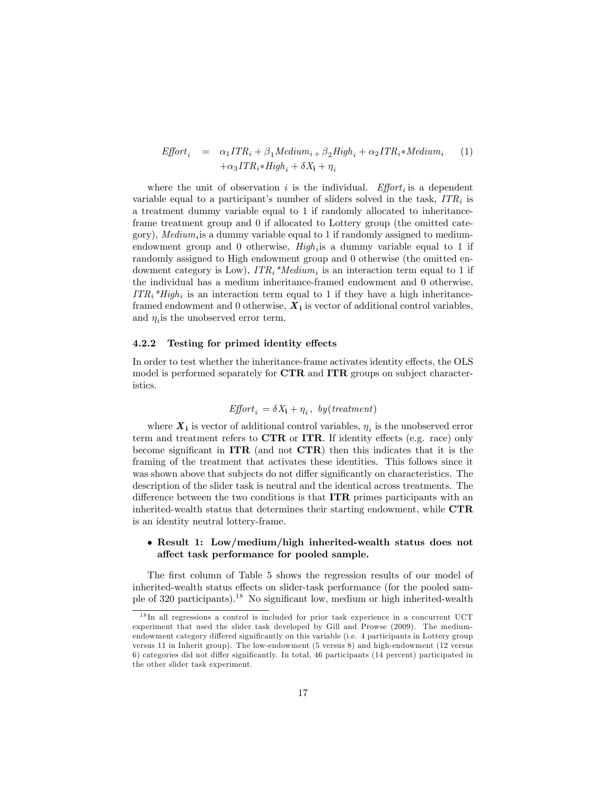$$
Effort_i = \alpha_1 ITR_i + \beta_1 Medium_i + \beta_2 High_i + \alpha_2 ITR_i * Medium_i
$$
  
+
$$
\alpha_3 ITR_i * High_i + \delta X_i + \eta_i
$$
 (1)

where the unit of observation i is the individual. Effort is a dependent variable equal to a participant's number of sliders solved in the task,  $ITR_i$  is a treatment dummy variable equal to 1 if randomly allocated to inheritanceframe treatment group and 0 if allocated to Lottery group (the omitted category),  $Median_i$  is a dummy variable equal to 1 if randomly assigned to mediumendowment group and 0 otherwise,  $High_i$  is a dummy variable equal to 1 if randomly assigned to High endowment group and 0 otherwise (the omitted endowment category is Low),  $ITR_i * Medium_i$  is an interaction term equal to 1 if the individual has a medium inheritance-framed endowment and 0 otherwise,  $ITR_i * High_i$  is an interaction term equal to 1 if they have a high inheritanceframed endowment and 0 otherwise,  $X_i$  is vector of additional control variables, and  $\eta_i$  is the unobserved error term.

#### 4.2.2 Testing for primed identity effects

In order to test whether the inheritance-frame activates identity effects, the OLS model is performed separately for CTR and ITR groups on subject characteristics.

$$
\mathit{Effort}_i = \delta X_{\mathbf{i}} + \eta_i \,,\, \mathit{by(treatment)}
$$

where  $X_i$  is vector of additional control variables,  $\eta_i$  is the unobserved error term and treatment refers to  $\mathbf{CTR}$  or  $\mathbf{ITR}$ . If identity effects (e.g. race) only become significant in  $ITR$  (and not  $CTR$ ) then this indicates that it is the framing of the treatment that activates these identities. This follows since it was shown above that subjects do not differ significantly on characteristics. The description of the slider task is neutral and the identical across treatments. The difference between the two conditions is that  $ITR$  primes participants with an inherited-wealth status that determines their starting endowment, while CTR is an identity neutral lottery-frame.

#### Result 1: Low/medium/high inherited-wealth status does not affect task performance for pooled sample.

The first column of Table 5 shows the regression results of our model of inherited-wealth status effects on slider-task performance (for the pooled sample of 320 participants).<sup>18</sup> No significant low, medium or high inherited-wealth

<sup>18</sup> In all regressions a control is included for prior task experience in a concurrent UCT experiment that used the slider task developed by Gill and Prowse (2009). The mediumendowment category differed significantly on this variable (i.e. 4 participants in Lottery group versus 11 in Inherit group). The low-endowment (5 versus 8) and high-endowment (12 versus 6) categories did not differ significantly. In total, 46 participants (14 percent) participated in the other slider task experiment.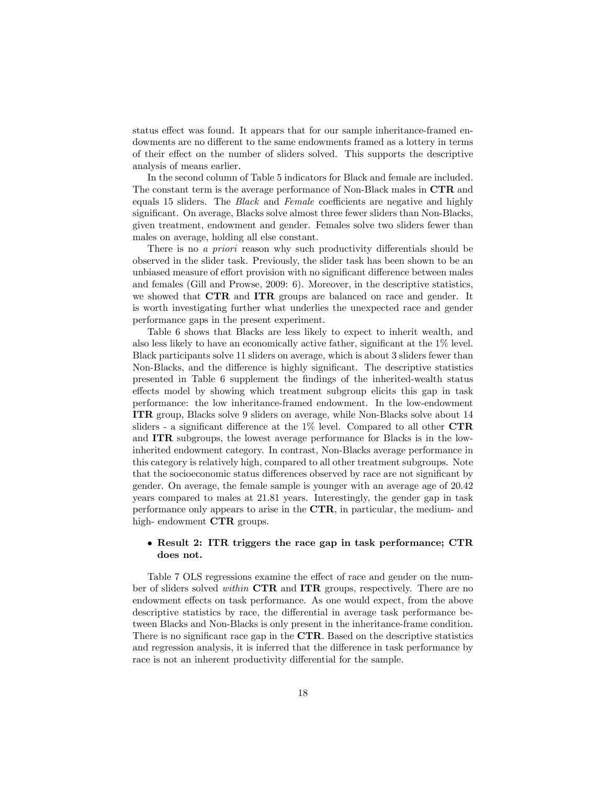status effect was found. It appears that for our sample inheritance-framed endowments are no different to the same endowments framed as a lottery in terms of their effect on the number of sliders solved. This supports the descriptive analysis of means earlier.

In the second column of Table 5 indicators for Black and female are included. The constant term is the average performance of Non-Black males in CTR and equals 15 sliders. The *Black* and *Female* coefficients are negative and highly significant. On average, Blacks solve almost three fewer sliders than Non-Blacks, given treatment, endowment and gender. Females solve two sliders fewer than males on average, holding all else constant.

There is no *a priori* reason why such productivity differentials should be observed in the slider task. Previously, the slider task has been shown to be an unbiased measure of effort provision with no significant difference between males and females (Gill and Prowse, 2009: 6). Moreover, in the descriptive statistics, we showed that CTR and ITR groups are balanced on race and gender. It is worth investigating further what underlies the unexpected race and gender performance gaps in the present experiment.

Table 6 shows that Blacks are less likely to expect to inherit wealth, and also less likely to have an economically active father, significant at the  $1\%$  level. Black participants solve 11 sliders on average, which is about 3 sliders fewer than Non-Blacks, and the difference is highly significant. The descriptive statistics presented in Table 6 supplement the Öndings of the inherited-wealth status effects model by showing which treatment subgroup elicits this gap in task performance: the low inheritance-framed endowment. In the low-endowment ITR group, Blacks solve 9 sliders on average, while Non-Blacks solve about 14 sliders - a significant difference at the  $1\%$  level. Compared to all other CTR and ITR subgroups, the lowest average performance for Blacks is in the lowinherited endowment category. In contrast, Non-Blacks average performance in this category is relatively high, compared to all other treatment subgroups. Note that the socioeconomic status differences observed by race are not significant by gender. On average, the female sample is younger with an average age of 20.42 years compared to males at 21.81 years. Interestingly, the gender gap in task performance only appears to arise in the CTR, in particular, the medium- and high- endowment CTR groups.

#### • Result 2: ITR triggers the race gap in task performance; CTR does not.

Table 7 OLS regressions examine the effect of race and gender on the number of sliders solved *within* CTR and ITR groups, respectively. There are no endowment effects on task performance. As one would expect, from the above descriptive statistics by race, the differential in average task performance between Blacks and Non-Blacks is only present in the inheritance-frame condition. There is no significant race gap in the  $CTR$ . Based on the descriptive statistics and regression analysis, it is inferred that the difference in task performance by race is not an inherent productivity differential for the sample.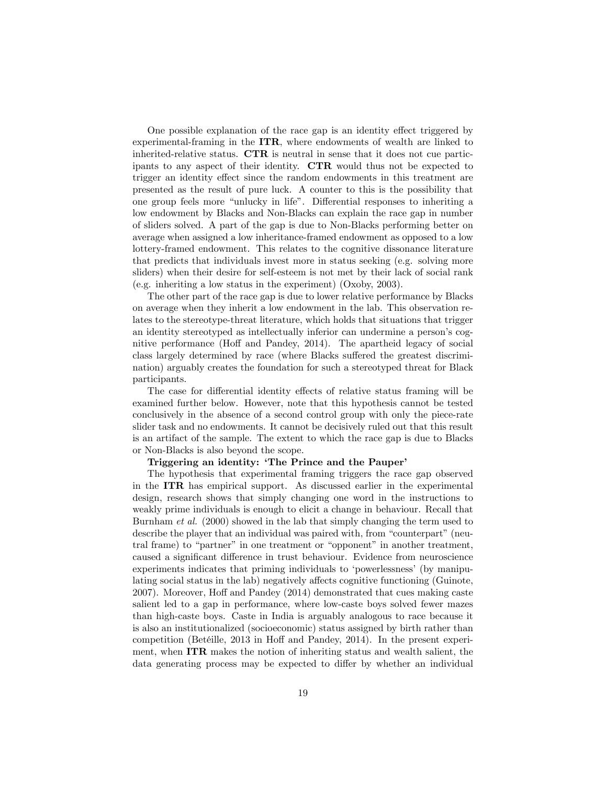One possible explanation of the race gap is an identity effect triggered by experimental-framing in the ITR, where endowments of wealth are linked to inherited-relative status. CTR is neutral in sense that it does not cue participants to any aspect of their identity. CTR would thus not be expected to trigger an identity effect since the random endowments in this treatment are presented as the result of pure luck. A counter to this is the possibility that one group feels more "unlucky in life". Differential responses to inheriting a low endowment by Blacks and Non-Blacks can explain the race gap in number of sliders solved. A part of the gap is due to Non-Blacks performing better on average when assigned a low inheritance-framed endowment as opposed to a low lottery-framed endowment. This relates to the cognitive dissonance literature that predicts that individuals invest more in status seeking (e.g. solving more sliders) when their desire for self-esteem is not met by their lack of social rank (e.g. inheriting a low status in the experiment) (Oxoby, 2003).

The other part of the race gap is due to lower relative performance by Blacks on average when they inherit a low endowment in the lab. This observation relates to the stereotype-threat literature, which holds that situations that trigger an identity stereotyped as intellectually inferior can undermine a person's cognitive performance (Hoff and Pandey, 2014). The apartheid legacy of social class largely determined by race (where Blacks suffered the greatest discrimination) arguably creates the foundation for such a stereotyped threat for Black participants.

The case for differential identity effects of relative status framing will be examined further below. However, note that this hypothesis cannot be tested conclusively in the absence of a second control group with only the piece-rate slider task and no endowments. It cannot be decisively ruled out that this result is an artifact of the sample. The extent to which the race gap is due to Blacks or Non-Blacks is also beyond the scope.

#### Triggering an identity: 'The Prince and the Pauper'

The hypothesis that experimental framing triggers the race gap observed in the ITR has empirical support. As discussed earlier in the experimental design, research shows that simply changing one word in the instructions to weakly prime individuals is enough to elicit a change in behaviour. Recall that Burnham et al. (2000) showed in the lab that simply changing the term used to describe the player that an individual was paired with, from "counterpart" (neutral frame) to "partner" in one treatment or "opponent" in another treatment, caused a significant difference in trust behaviour. Evidence from neuroscience experiments indicates that priming individuals to 'powerlessness' (by manipulating social status in the lab) negatively affects cognitive functioning (Guinote, 2007). Moreover, Hoff and Pandey (2014) demonstrated that cues making caste salient led to a gap in performance, where low-caste boys solved fewer mazes than high-caste boys. Caste in India is arguably analogous to race because it is also an institutionalized (socioeconomic) status assigned by birth rather than competition (Betéille,  $2013$  in Hoff and Pandey,  $2014$ ). In the present experiment, when ITR makes the notion of inheriting status and wealth salient, the data generating process may be expected to differ by whether an individual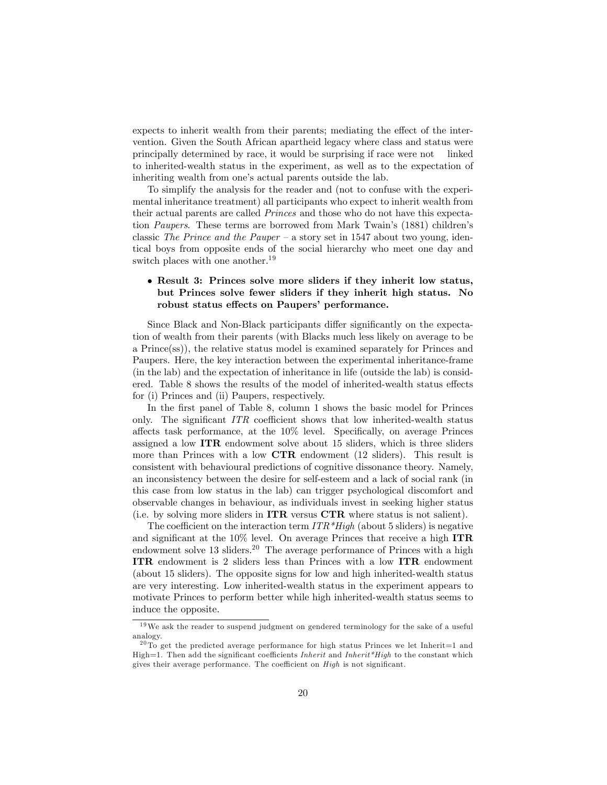expects to inherit wealth from their parents; mediating the effect of the intervention. Given the South African apartheid legacy where class and status were principally determined by race, it would be surprising if race were not linked to inherited-wealth status in the experiment, as well as to the expectation of inheriting wealth from one's actual parents outside the lab.

To simplify the analysis for the reader and (not to confuse with the experimental inheritance treatment) all participants who expect to inherit wealth from their actual parents are called Princes and those who do not have this expectation Paupers. These terms are borrowed from Mark Twain's (1881) children's classic The Prince and the Pauper – a story set in 1547 about two young, identical boys from opposite ends of the social hierarchy who meet one day and switch places with one another.<sup>19</sup>

#### Result 3: Princes solve more sliders if they inherit low status, but Princes solve fewer sliders if they inherit high status. No robust status effects on Paupers' performance.

Since Black and Non-Black participants differ significantly on the expectation of wealth from their parents (with Blacks much less likely on average to be a Prince(ss)), the relative status model is examined separately for Princes and Paupers. Here, the key interaction between the experimental inheritance-frame (in the lab) and the expectation of inheritance in life (outside the lab) is considered. Table 8 shows the results of the model of inherited-wealth status effects for (i) Princes and (ii) Paupers, respectively.

In the first panel of Table 8, column 1 shows the basic model for Princes only. The significant  $ITR$  coefficient shows that low inherited-wealth status affects task performance, at the  $10\%$  level. Specifically, on average Princes assigned a low ITR endowment solve about 15 sliders, which is three sliders more than Princes with a low CTR endowment (12 sliders). This result is consistent with behavioural predictions of cognitive dissonance theory. Namely, an inconsistency between the desire for self-esteem and a lack of social rank (in this case from low status in the lab) can trigger psychological discomfort and observable changes in behaviour, as individuals invest in seeking higher status (i.e. by solving more sliders in  $\text{ITR}$  versus  $\text{CTR}$  where status is not salient).

The coefficient on the interaction term  $ITR*High$  (about 5 sliders) is negative and significant at the  $10\%$  level. On average Princes that receive a high ITR endowment solve  $13$  sliders.<sup>20</sup> The average performance of Princes with a high ITR endowment is 2 sliders less than Princes with a low ITR endowment (about 15 sliders). The opposite signs for low and high inherited-wealth status are very interesting. Low inherited-wealth status in the experiment appears to motivate Princes to perform better while high inherited-wealth status seems to induce the opposite.

<sup>&</sup>lt;sup>19</sup>We ask the reader to suspend judgment on gendered terminology for the sake of a useful analogy.

 $20$  To get the predicted average performance for high status Princes we let Inherit=1 and High=1. Then add the significant coefficients *Inherit* and *Inherit\*High* to the constant which gives their average performance. The coefficient on  $High$  is not significant.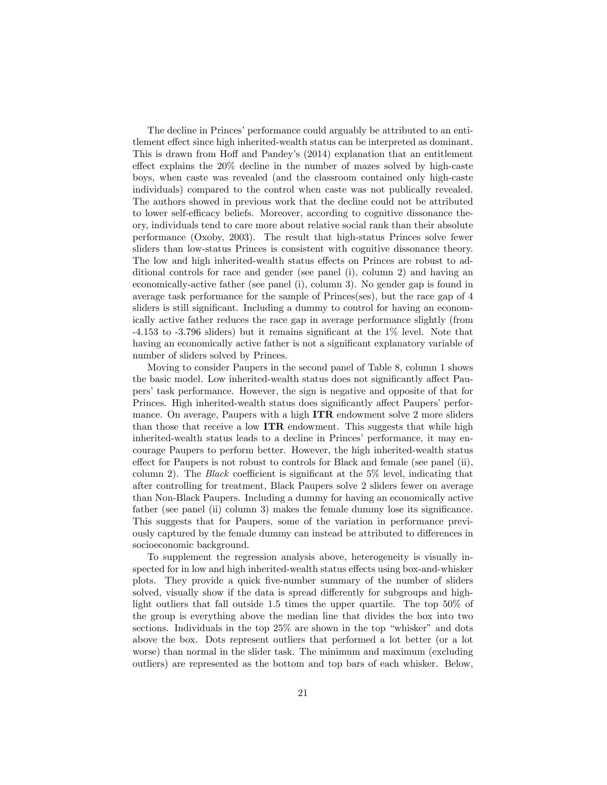The decline in Princes' performance could arguably be attributed to an entitlement effect since high inherited-wealth status can be interpreted as dominant. This is drawn from Hoff and Pandey's (2014) explanation that an entitlement effect explains the  $20\%$  decline in the number of mazes solved by high-caste boys, when caste was revealed (and the classroom contained only high-caste individuals) compared to the control when caste was not publically revealed. The authors showed in previous work that the decline could not be attributed to lower self-efficacy beliefs. Moreover, according to cognitive dissonance theory, individuals tend to care more about relative social rank than their absolute performance (Oxoby, 2003). The result that high-status Princes solve fewer sliders than low-status Princes is consistent with cognitive dissonance theory. The low and high inherited-wealth status effects on Princes are robust to additional controls for race and gender (see panel (i), column 2) and having an economically-active father (see panel (i), column 3). No gender gap is found in average task performance for the sample of Princes(ses), but the race gap of 4 sliders is still significant. Including a dummy to control for having an economically active father reduces the race gap in average performance slightly (from  $-4.153$  to  $-3.796$  sliders) but it remains significant at the  $1\%$  level. Note that having an economically active father is not a significant explanatory variable of number of sliders solved by Princes.

Moving to consider Paupers in the second panel of Table 8, column 1 shows the basic model. Low inherited-wealth status does not significantly affect Paupersítask performance. However, the sign is negative and opposite of that for Princes. High inherited-wealth status does significantly affect Paupers' performance. On average, Paupers with a high ITR endowment solve 2 more sliders than those that receive a low ITR endowment. This suggests that while high inherited-wealth status leads to a decline in Princes' performance, it may encourage Paupers to perform better. However, the high inherited-wealth status effect for Paupers is not robust to controls for Black and female (see panel (ii), column 2). The *Black* coefficient is significant at the  $5\%$  level, indicating that after controlling for treatment, Black Paupers solve 2 sliders fewer on average than Non-Black Paupers. Including a dummy for having an economically active father (see panel (ii) column 3) makes the female dummy lose its significance. This suggests that for Paupers, some of the variation in performance previously captured by the female dummy can instead be attributed to differences in socioeconomic background.

To supplement the regression analysis above, heterogeneity is visually inspected for in low and high inherited-wealth status effects using box-and-whisker plots. They provide a quick Öve-number summary of the number of sliders solved, visually show if the data is spread differently for subgroups and highlight outliers that fall outside 1.5 times the upper quartile. The top 50% of the group is everything above the median line that divides the box into two sections. Individuals in the top  $25\%$  are shown in the top "whisker" and dots above the box. Dots represent outliers that performed a lot better (or a lot worse) than normal in the slider task. The minimum and maximum (excluding outliers) are represented as the bottom and top bars of each whisker. Below,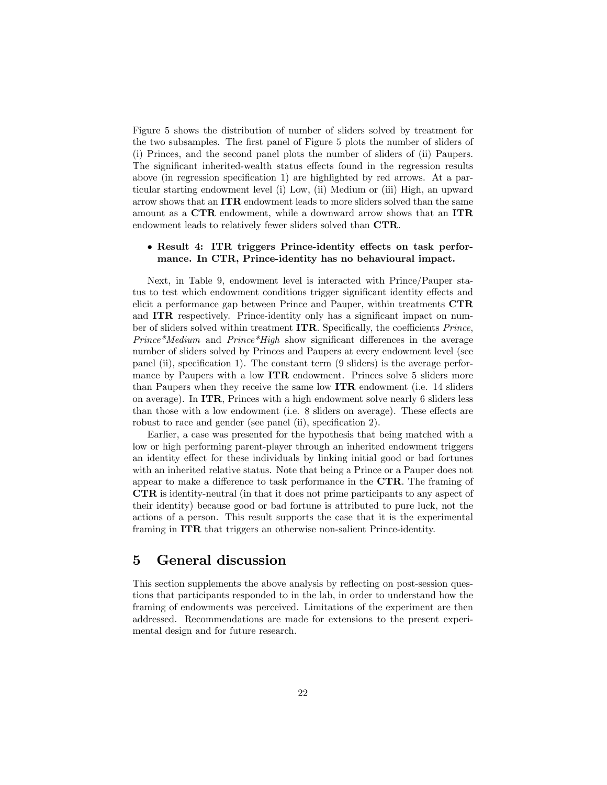Figure 5 shows the distribution of number of sliders solved by treatment for the two subsamples. The first panel of Figure 5 plots the number of sliders of (i) Princes, and the second panel plots the number of sliders of (ii) Paupers. The significant inherited-wealth status effects found in the regression results above (in regression specification 1) are highlighted by red arrows. At a particular starting endowment level (i) Low, (ii) Medium or (iii) High, an upward arrow shows that an ITR endowment leads to more sliders solved than the same amount as a CTR endowment, while a downward arrow shows that an ITR endowment leads to relatively fewer sliders solved than CTR.

#### • Result 4: ITR triggers Prince-identity effects on task performance. In CTR, Prince-identity has no behavioural impact.

Next, in Table 9, endowment level is interacted with Prince/Pauper status to test which endowment conditions trigger significant identity effects and elicit a performance gap between Prince and Pauper, within treatments CTR and **ITR** respectively. Prince-identity only has a significant impact on number of sliders solved within treatment  $ITR$ . Specifically, the coefficients *Prince*, *Prince\*Medium* and *Prince\*High* show significant differences in the average number of sliders solved by Princes and Paupers at every endowment level (see panel (ii), specification 1). The constant term  $(9 \text{ slides})$  is the average performance by Paupers with a low ITR endowment. Princes solve 5 sliders more than Paupers when they receive the same low ITR endowment (i.e. 14 sliders on average). In ITR, Princes with a high endowment solve nearly 6 sliders less than those with a low endowment (i.e. 8 sliders on average). These effects are robust to race and gender (see panel (ii), specification 2).

Earlier, a case was presented for the hypothesis that being matched with a low or high performing parent-player through an inherited endowment triggers an identity effect for these individuals by linking initial good or bad fortunes with an inherited relative status. Note that being a Prince or a Pauper does not appear to make a difference to task performance in the  $CTR$ . The framing of CTR is identity-neutral (in that it does not prime participants to any aspect of their identity) because good or bad fortune is attributed to pure luck, not the actions of a person. This result supports the case that it is the experimental framing in ITR that triggers an otherwise non-salient Prince-identity.

## 5 General discussion

This section supplements the above analysis by reflecting on post-session questions that participants responded to in the lab, in order to understand how the framing of endowments was perceived. Limitations of the experiment are then addressed. Recommendations are made for extensions to the present experimental design and for future research.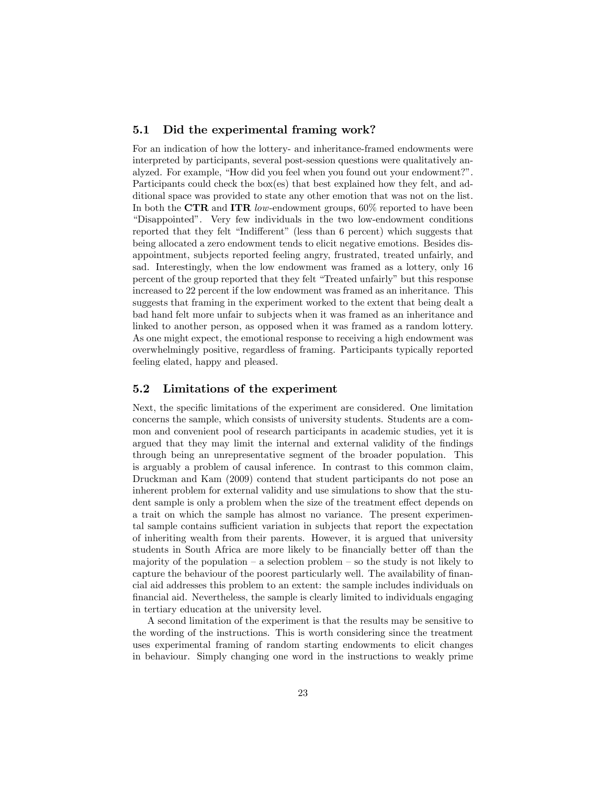#### 5.1 Did the experimental framing work?

For an indication of how the lottery- and inheritance-framed endowments were interpreted by participants, several post-session questions were qualitatively analyzed. For example, "How did you feel when you found out your endowment?". Participants could check the box(es) that best explained how they felt, and additional space was provided to state any other emotion that was not on the list. In both the CTR and ITR low-endowment groups, 60% reported to have been ìDisappointedî. Very few individuals in the two low-endowment conditions reported that they felt "Indifferent" (less than 6 percent) which suggests that being allocated a zero endowment tends to elicit negative emotions. Besides disappointment, subjects reported feeling angry, frustrated, treated unfairly, and sad. Interestingly, when the low endowment was framed as a lottery, only 16 percent of the group reported that they felt "Treated unfairly" but this response increased to 22 percent if the low endowment was framed as an inheritance. This suggests that framing in the experiment worked to the extent that being dealt a bad hand felt more unfair to subjects when it was framed as an inheritance and linked to another person, as opposed when it was framed as a random lottery. As one might expect, the emotional response to receiving a high endowment was overwhelmingly positive, regardless of framing. Participants typically reported feeling elated, happy and pleased.

#### 5.2 Limitations of the experiment

Next, the specific limitations of the experiment are considered. One limitation concerns the sample, which consists of university students. Students are a common and convenient pool of research participants in academic studies, yet it is argued that they may limit the internal and external validity of the findings through being an unrepresentative segment of the broader population. This is arguably a problem of causal inference. In contrast to this common claim, Druckman and Kam (2009) contend that student participants do not pose an inherent problem for external validity and use simulations to show that the student sample is only a problem when the size of the treatment effect depends on a trait on which the sample has almost no variance. The present experimental sample contains sufficient variation in subjects that report the expectation of inheriting wealth from their parents. However, it is argued that university students in South Africa are more likely to be financially better off than the majority of the population  $-$  a selection problem  $-$  so the study is not likely to capture the behaviour of the poorest particularly well. The availability of financial aid addresses this problem to an extent: the sample includes individuals on Önancial aid. Nevertheless, the sample is clearly limited to individuals engaging in tertiary education at the university level.

A second limitation of the experiment is that the results may be sensitive to the wording of the instructions. This is worth considering since the treatment uses experimental framing of random starting endowments to elicit changes in behaviour. Simply changing one word in the instructions to weakly prime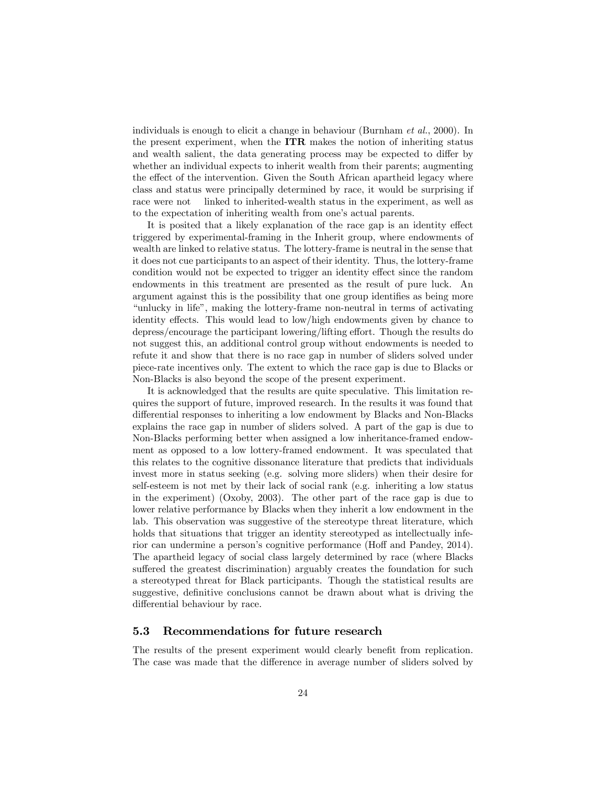individuals is enough to elicit a change in behaviour (Burnham et al., 2000). In the present experiment, when the ITR makes the notion of inheriting status and wealth salient, the data generating process may be expected to differ by whether an individual expects to inherit wealth from their parents; augmenting the effect of the intervention. Given the South African apartheid legacy where class and status were principally determined by race, it would be surprising if race were not linked to inherited-wealth status in the experiment, as well as to the expectation of inheriting wealth from one's actual parents.

It is posited that a likely explanation of the race gap is an identity effect triggered by experimental-framing in the Inherit group, where endowments of wealth are linked to relative status. The lottery-frame is neutral in the sense that it does not cue participants to an aspect of their identity. Thus, the lottery-frame condition would not be expected to trigger an identity effect since the random endowments in this treatment are presented as the result of pure luck. An argument against this is the possibility that one group identifies as being more ìunlucky in lifeî, making the lottery-frame non-neutral in terms of activating identity effects. This would lead to low/high endowments given by chance to depress/encourage the participant lowering/lifting effort. Though the results do not suggest this, an additional control group without endowments is needed to refute it and show that there is no race gap in number of sliders solved under piece-rate incentives only. The extent to which the race gap is due to Blacks or Non-Blacks is also beyond the scope of the present experiment.

It is acknowledged that the results are quite speculative. This limitation requires the support of future, improved research. In the results it was found that differential responses to inheriting a low endowment by Blacks and Non-Blacks explains the race gap in number of sliders solved. A part of the gap is due to Non-Blacks performing better when assigned a low inheritance-framed endowment as opposed to a low lottery-framed endowment. It was speculated that this relates to the cognitive dissonance literature that predicts that individuals invest more in status seeking (e.g. solving more sliders) when their desire for self-esteem is not met by their lack of social rank (e.g. inheriting a low status in the experiment) (Oxoby, 2003). The other part of the race gap is due to lower relative performance by Blacks when they inherit a low endowment in the lab. This observation was suggestive of the stereotype threat literature, which holds that situations that trigger an identity stereotyped as intellectually inferior can undermine a person's cognitive performance (Hoff and Pandey, 2014). The apartheid legacy of social class largely determined by race (where Blacks suffered the greatest discrimination) arguably creates the foundation for such a stereotyped threat for Black participants. Though the statistical results are suggestive, definitive conclusions cannot be drawn about what is driving the differential behaviour by race.

#### 5.3 Recommendations for future research

The results of the present experiment would clearly benefit from replication. The case was made that the difference in average number of sliders solved by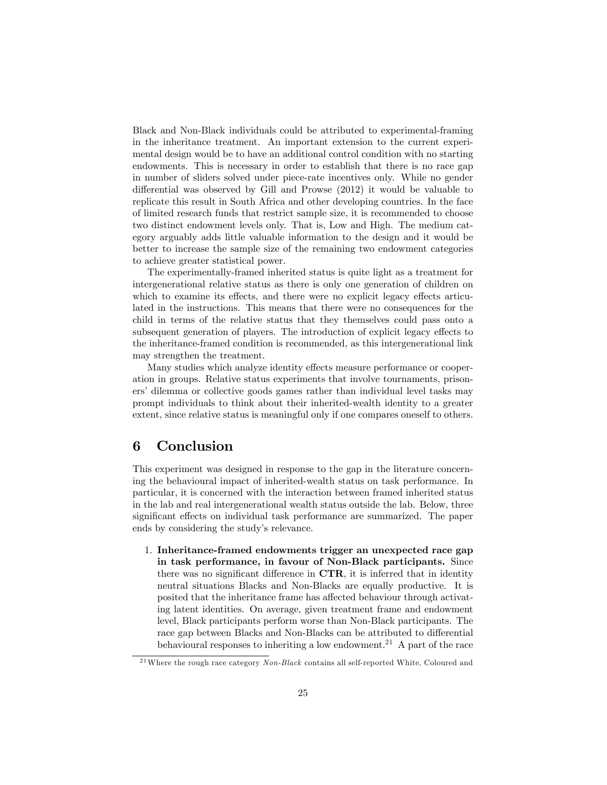Black and Non-Black individuals could be attributed to experimental-framing in the inheritance treatment. An important extension to the current experimental design would be to have an additional control condition with no starting endowments. This is necessary in order to establish that there is no race gap in number of sliders solved under piece-rate incentives only. While no gender differential was observed by Gill and Prowse  $(2012)$  it would be valuable to replicate this result in South Africa and other developing countries. In the face of limited research funds that restrict sample size, it is recommended to choose two distinct endowment levels only. That is, Low and High. The medium category arguably adds little valuable information to the design and it would be better to increase the sample size of the remaining two endowment categories to achieve greater statistical power.

The experimentally-framed inherited status is quite light as a treatment for intergenerational relative status as there is only one generation of children on which to examine its effects, and there were no explicit legacy effects articulated in the instructions. This means that there were no consequences for the child in terms of the relative status that they themselves could pass onto a subsequent generation of players. The introduction of explicit legacy effects to the inheritance-framed condition is recommended, as this intergenerational link may strengthen the treatment.

Many studies which analyze identity effects measure performance or cooperation in groups. Relative status experiments that involve tournaments, prisoners' dilemma or collective goods games rather than individual level tasks may prompt individuals to think about their inherited-wealth identity to a greater extent, since relative status is meaningful only if one compares oneself to others.

## 6 Conclusion

This experiment was designed in response to the gap in the literature concerning the behavioural impact of inherited-wealth status on task performance. In particular, it is concerned with the interaction between framed inherited status in the lab and real intergenerational wealth status outside the lab. Below, three significant effects on individual task performance are summarized. The paper ends by considering the study's relevance.

1. Inheritance-framed endowments trigger an unexpected race gap in task performance, in favour of Non-Black participants. Since there was no significant difference in  $\mathbf{CTR}$ , it is inferred that in identity neutral situations Blacks and Non-Blacks are equally productive. It is posited that the inheritance frame has affected behaviour through activating latent identities. On average, given treatment frame and endowment level, Black participants perform worse than Non-Black participants. The race gap between Blacks and Non-Blacks can be attributed to differential behavioural responses to inheriting a low endowment.<sup>21</sup> A part of the race

<sup>&</sup>lt;sup>21</sup>Where the rough race category  $Non-Black$  contains all self-reported White, Coloured and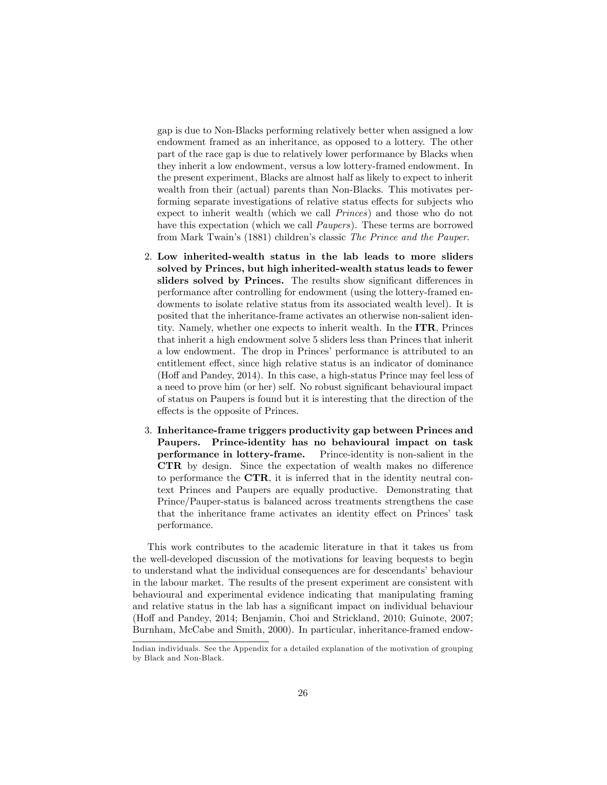gap is due to Non-Blacks performing relatively better when assigned a low endowment framed as an inheritance, as opposed to a lottery. The other part of the race gap is due to relatively lower performance by Blacks when they inherit a low endowment, versus a low lottery-framed endowment. In the present experiment, Blacks are almost half as likely to expect to inherit wealth from their (actual) parents than Non-Blacks. This motivates performing separate investigations of relative status effects for subjects who expect to inherit wealth (which we call Princes) and those who do not have this expectation (which we call Paupers). These terms are borrowed from Mark Twain's (1881) children's classic The Prince and the Pauper.

- 2. Low inherited-wealth status in the lab leads to more sliders solved by Princes, but high inherited-wealth status leads to fewer sliders solved by Princes. The results show significant differences in performance after controlling for endowment (using the lottery-framed endowments to isolate relative status from its associated wealth level). It is posited that the inheritance-frame activates an otherwise non-salient identity. Namely, whether one expects to inherit wealth. In the ITR, Princes that inherit a high endowment solve 5 sliders less than Princes that inherit a low endowment. The drop in Princes' performance is attributed to an entitlement effect, since high relative status is an indicator of dominance (Hoff and Pandey, 2014). In this case, a high-status Prince may feel less of a need to prove him (or her) self. No robust significant behavioural impact of status on Paupers is found but it is interesting that the direction of the effects is the opposite of Princes.
- 3. Inheritance-frame triggers productivity gap between Princes and Paupers. Prince-identity has no behavioural impact on task performance in lottery-frame. Prince-identity is non-salient in the CTR by design. Since the expectation of wealth makes no difference to performance the CTR, it is inferred that in the identity neutral context Princes and Paupers are equally productive. Demonstrating that Prince/Pauper-status is balanced across treatments strengthens the case that the inheritance frame activates an identity effect on Princes' task performance.

This work contributes to the academic literature in that it takes us from the well-developed discussion of the motivations for leaving bequests to begin to understand what the individual consequences are for descendants' behaviour in the labour market. The results of the present experiment are consistent with behavioural and experimental evidence indicating that manipulating framing and relative status in the lab has a significant impact on individual behaviour (Hoff and Pandey, 2014; Benjamin, Choi and Strickland, 2010; Guinote, 2007; Burnham, McCabe and Smith, 2000). In particular, inheritance-framed endow-

Indian individuals. See the Appendix for a detailed explanation of the motivation of grouping by Black and Non-Black.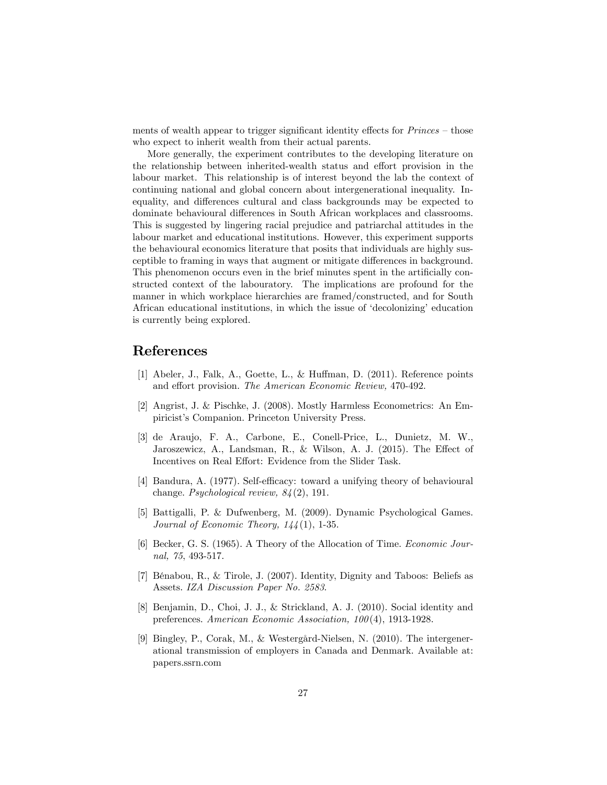ments of wealth appear to trigger significant identity effects for  $Prines - those$ who expect to inherit wealth from their actual parents.

More generally, the experiment contributes to the developing literature on the relationship between inherited-wealth status and effort provision in the labour market. This relationship is of interest beyond the lab the context of continuing national and global concern about intergenerational inequality. Inequality, and differences cultural and class backgrounds may be expected to dominate behavioural differences in South African workplaces and classrooms. This is suggested by lingering racial prejudice and patriarchal attitudes in the labour market and educational institutions. However, this experiment supports the behavioural economics literature that posits that individuals are highly susceptible to framing in ways that augment or mitigate differences in background. This phenomenon occurs even in the brief minutes spent in the artificially constructed context of the labouratory. The implications are profound for the manner in which workplace hierarchies are framed/constructed, and for South African educational institutions, in which the issue of 'decolonizing' education is currently being explored.

## References

- [1] Abeler, J., Falk, A., Goette, L., & Huffman, D.  $(2011)$ . Reference points and effort provision. The American Economic Review, 470-492.
- [2] Angrist, J. & Pischke, J. (2008). Mostly Harmless Econometrics: An Empiricist's Companion. Princeton University Press.
- [3] de Araujo, F. A., Carbone, E., Conell-Price, L., Dunietz, M. W., Jaroszewicz, A., Landsman, R., & Wilson, A. J.  $(2015)$ . The Effect of Incentives on Real Effort: Evidence from the Slider Task.
- [4] Bandura, A. (1977). Self-efficacy: toward a unifying theory of behavioural change. Psychological review, 84 (2), 191.
- [5] Battigalli, P. & Dufwenberg, M. (2009). Dynamic Psychological Games. Journal of Economic Theory,  $144(1)$ , 1-35.
- [6] Becker, G. S. (1965). A Theory of the Allocation of Time. Economic Journal, 75, 493-517.
- [7] BÈnabou, R., & Tirole, J. (2007). Identity, Dignity and Taboos: Beliefs as Assets. IZA Discussion Paper No. 2583.
- [8] Benjamin, D., Choi, J. J., & Strickland, A. J. (2010). Social identity and preferences. American Economic Association, 100 (4), 1913-1928.
- [9] Bingley, P., Corak, M., & WestergÂrd-Nielsen, N. (2010). The intergenerational transmission of employers in Canada and Denmark. Available at: papers.ssrn.com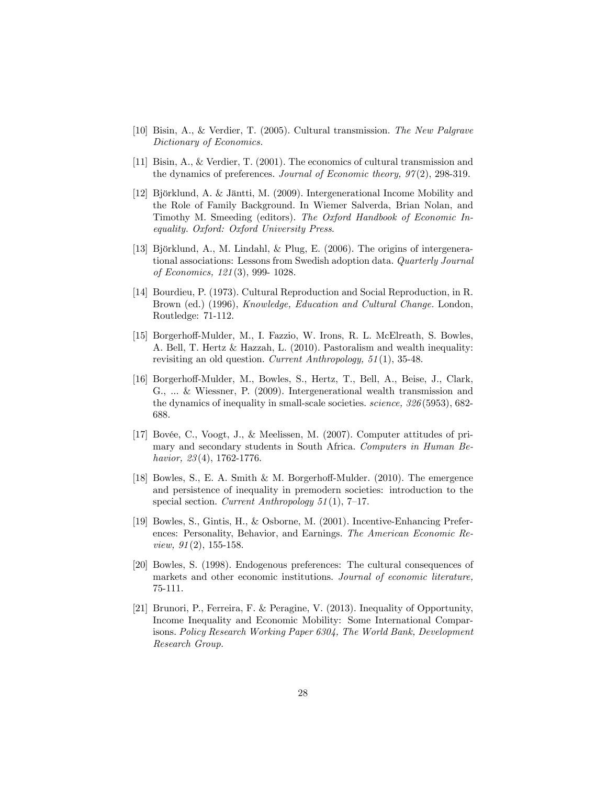- [10] Bisin, A., & Verdier, T. (2005). Cultural transmission. The New Palgrave Dictionary of Economics.
- [11] Bisin, A., & Verdier, T. (2001). The economics of cultural transmission and the dynamics of preferences. Journal of Economic theory,  $97(2)$ , 298-319.
- [12] Björklund, A. & Jäntti, M. (2009). Intergenerational Income Mobility and the Role of Family Background. In Wiemer Salverda, Brian Nolan, and Timothy M. Smeeding (editors). The Oxford Handbook of Economic Inequality. Oxford: Oxford University Press.
- [13] Björklund, A., M. Lindahl, & Plug, E. (2006). The origins of intergenerational associations: Lessons from Swedish adoption data. Quarterly Journal of Economics, 121 (3), 999- 1028.
- [14] Bourdieu, P. (1973). Cultural Reproduction and Social Reproduction, in R. Brown (ed.) (1996), Knowledge, Education and Cultural Change. London, Routledge: 71-112.
- [15] Borgerhoff-Mulder, M., I. Fazzio, W. Irons, R. L. McElreath, S. Bowles, A. Bell, T. Hertz & Hazzah, L. (2010). Pastoralism and wealth inequality: revisiting an old question. Current Anthropology, 51 (1), 35-48.
- [16] Borgerho§-Mulder, M., Bowles, S., Hertz, T., Bell, A., Beise, J., Clark, G., ... & Wiessner, P. (2009). Intergenerational wealth transmission and the dynamics of inequality in small-scale societies. science, 326 (5953), 682- 688.
- [17] Bovée, C., Voogt, J., & Meelissen, M. (2007). Computer attitudes of primary and secondary students in South Africa. Computers in Human Behavior,  $23(4)$ , 1762-1776.
- [18] Bowles, S., E. A. Smith & M. Borgerhoff-Mulder.  $(2010)$ . The emergence and persistence of inequality in premodern societies: introduction to the special section. Current Anthropology  $51(1)$ , 7–17.
- [19] Bowles, S., Gintis, H., & Osborne, M. (2001). Incentive-Enhancing Preferences: Personality, Behavior, and Earnings. The American Economic Review,  $91(2)$ , 155-158.
- [20] Bowles, S. (1998). Endogenous preferences: The cultural consequences of markets and other economic institutions. Journal of economic literature, 75-111.
- [21] Brunori, P., Ferreira, F. & Peragine, V. (2013). Inequality of Opportunity, Income Inequality and Economic Mobility: Some International Comparisons. Policy Research Working Paper 6304, The World Bank, Development Research Group.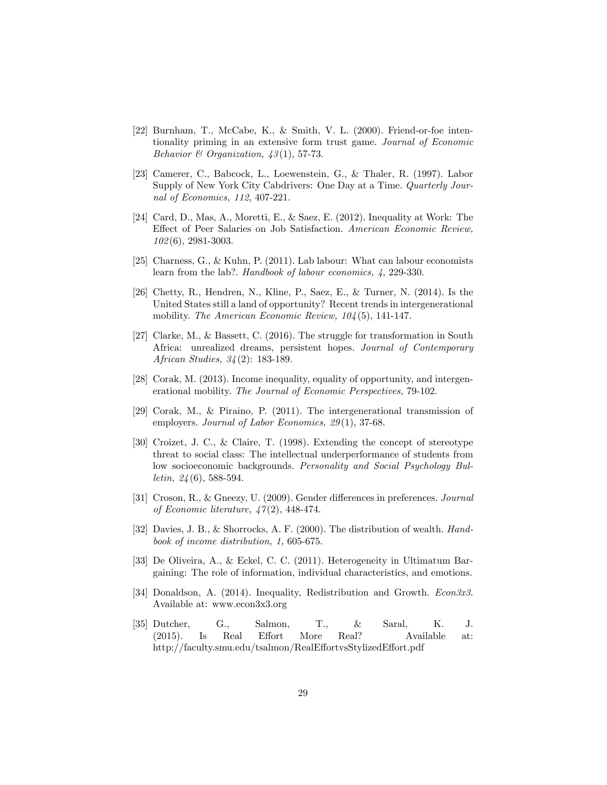- [22] Burnham, T., McCabe, K., & Smith, V. L. (2000). Friend-or-foe intentionality priming in an extensive form trust game. Journal of Economic Behavior & Organization,  $43(1)$ , 57-73.
- [23] Camerer, C., Babcock, L., Loewenstein, G., & Thaler, R. (1997). Labor Supply of New York City Cabdrivers: One Day at a Time. *Quarterly Jour*nal of Economics, 112, 407-221.
- [24] Card, D., Mas, A., Moretti, E., & Saez, E. (2012). Inequality at Work: The Effect of Peer Salaries on Job Satisfaction. American Economic Review, 102 (6), 2981-3003.
- [25] Charness, G., & Kuhn, P. (2011). Lab labour: What can labour economists learn from the lab?. Handbook of labour economics, 4, 229-330.
- [26] Chetty, R., Hendren, N., Kline, P., Saez, E., & Turner, N. (2014). Is the United States still a land of opportunity? Recent trends in intergenerational mobility. The American Economic Review,  $104(5)$ , 141-147.
- [27] Clarke, M., & Bassett, C. (2016). The struggle for transformation in South Africa: unrealized dreams, persistent hopes. Journal of Contemporary African Studies, 34 (2): 183-189.
- [28] Corak, M. (2013). Income inequality, equality of opportunity, and intergenerational mobility. The Journal of Economic Perspectives, 79-102.
- [29] Corak, M., & Piraino, P. (2011). The intergenerational transmission of employers. Journal of Labor Economics, 29(1), 37-68.
- [30] Croizet, J. C., & Claire, T. (1998). Extending the concept of stereotype threat to social class: The intellectual underperformance of students from low socioeconomic backgrounds. Personality and Social Psychology Bul*letin,*  $24(6)$ , 588-594.
- [31] Croson, R., & Gneezy, U. (2009). Gender differences in preferences. Journal of Economic literature, 47 (2), 448-474.
- [32] Davies, J. B., & Shorrocks, A. F. (2000). The distribution of wealth. Handbook of income distribution, 1, 605-675.
- [33] De Oliveira, A., & Eckel, C. C. (2011). Heterogeneity in Ultimatum Bargaining: The role of information, individual characteristics, and emotions.
- [34] Donaldson, A. (2014). Inequality, Redistribution and Growth. *Econ3x3*. Available at: www.econ3x3.org
- [35] Dutcher, G., Salmon, T., & Saral, K. J. (2015). Is Real Effort More Real? Available at: http://faculty.smu.edu/tsalmon/RealEffortvsStylizedEffort.pdf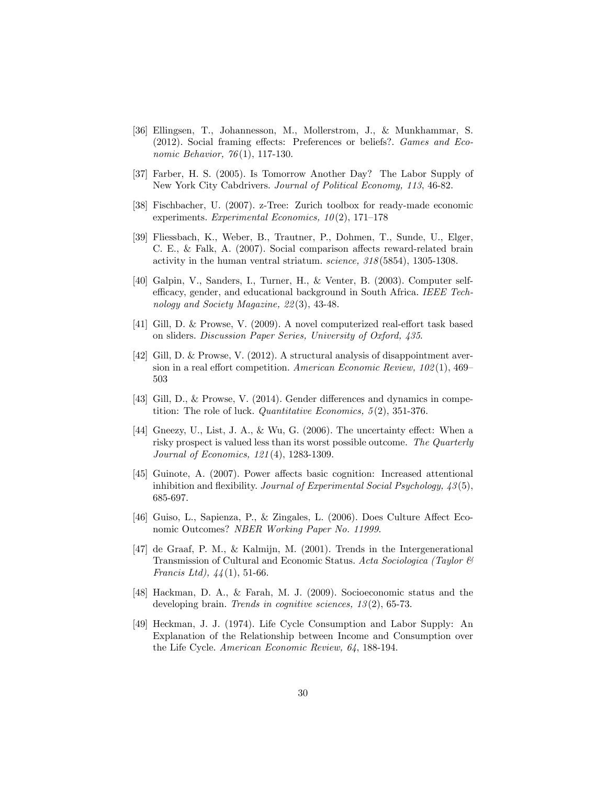- [36] Ellingsen, T., Johannesson, M., Mollerstrom, J., & Munkhammar, S. (2012). Social framing effects: Preferences or beliefs?.  $Games and Eco$ nomic Behavior, 76(1), 117-130.
- [37] Farber, H. S. (2005). Is Tomorrow Another Day? The Labor Supply of New York City Cabdrivers. Journal of Political Economy, 113, 46-82.
- [38] Fischbacher, U. (2007). z-Tree: Zurich toolbox for ready-made economic experiments. Experimental Economics,  $10(2)$ , 171–178
- [39] Fliessbach, K., Weber, B., Trautner, P., Dohmen, T., Sunde, U., Elger, C. E.,  $\&$  Falk, A. (2007). Social comparison affects reward-related brain activity in the human ventral striatum. science, 318 (5854), 1305-1308.
- [40] Galpin, V., Sanders, I., Turner, H., & Venter, B. (2003). Computer selfefficacy, gender, and educational background in South Africa. IEEE Technology and Society Magazine, 22 (3), 43-48.
- [41] Gill, D. & Prowse, V. (2009). A novel computerized real-effort task based on sliders. Discussion Paper Series, University of Oxford, 435.
- [42] Gill, D. & Prowse, V. (2012). A structural analysis of disappointment aversion in a real effort competition. American Economic Review,  $102(1)$ ,  $469-$ 503
- [43] Gill, D., & Prowse, V.  $(2014)$ . Gender differences and dynamics in competition: The role of luck. *Quantitative Economics*, 5(2), 351-376.
- [44] Gneezy, U., List, J. A., & Wu, G.  $(2006)$ . The uncertainty effect: When a risky prospect is valued less than its worst possible outcome. The Quarterly Journal of Economics, 121 (4), 1283-1309.
- [45] Guinote, A. (2007). Power affects basic cognition: Increased attentional inhibition and flexibility. Journal of Experimental Social Psychology,  $\angle 43(5)$ , 685-697.
- [46] Guiso, L., Sapienza, P., & Zingales, L. (2006). Does Culture Affect Economic Outcomes? NBER Working Paper No. 11999.
- [47] de Graaf, P. M., & Kalmijn, M. (2001). Trends in the Intergenerational Transmission of Cultural and Economic Status. Acta Sociologica (Taylor & Francis Ltd),  $44(1)$ , 51-66.
- [48] Hackman, D. A., & Farah, M. J. (2009). Socioeconomic status and the developing brain. Trends in cognitive sciences,  $13(2)$ , 65-73.
- [49] Heckman, J. J. (1974). Life Cycle Consumption and Labor Supply: An Explanation of the Relationship between Income and Consumption over the Life Cycle. American Economic Review, 64, 188-194.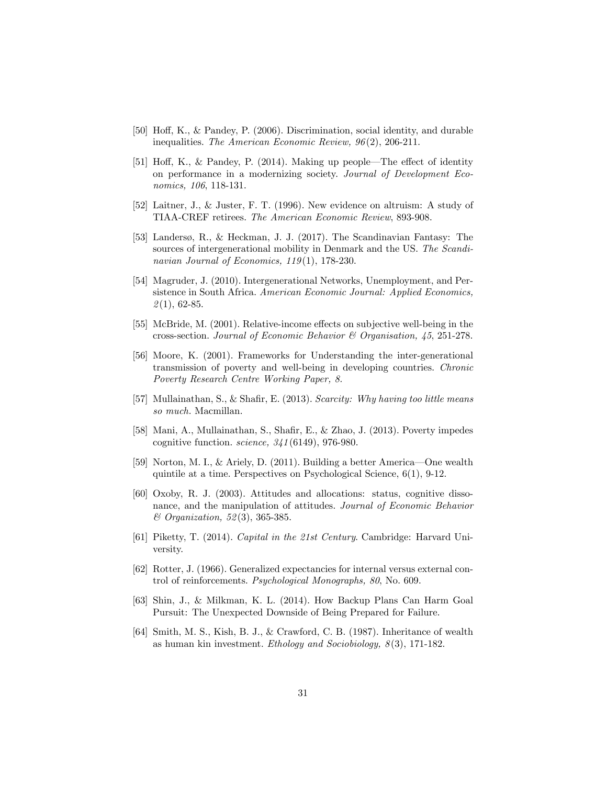- [50] Hoff, K., & Pandey, P.  $(2006)$ . Discrimination, social identity, and durable inequalities. The American Economic Review, 96(2), 206-211.
- [51] Hoff, K., & Pandey, P.  $(2014)$ . Making up people—The effect of identity on performance in a modernizing society. Journal of Development Economics, 106, 118-131.
- [52] Laitner, J., & Juster, F. T. (1996). New evidence on altruism: A study of TIAA-CREF retirees. The American Economic Review, 893-908.
- [53] Landersø, R., & Heckman, J. J. (2017). The Scandinavian Fantasy: The sources of intergenerational mobility in Denmark and the US. The Scandinavian Journal of Economics, 119(1), 178-230.
- [54] Magruder, J. (2010). Intergenerational Networks, Unemployment, and Persistence in South Africa. American Economic Journal: Applied Economics,  $2(1), 62-85.$
- [55] McBride, M.  $(2001)$ . Relative-income effects on subjective well-being in the cross-section. Journal of Economic Behavior & Organisation, 45, 251-278.
- [56] Moore, K. (2001). Frameworks for Understanding the inter-generational transmission of poverty and well-being in developing countries. Chronic Poverty Research Centre Working Paper, 8.
- [57] Mullainathan, S., & Shafir, E. (2013). Scarcity: Why having too little means so much. Macmillan.
- [58] Mani, A., Mullainathan, S., Shafir, E., & Zhao, J. (2013). Poverty impedes cognitive function. science, 341 (6149), 976-980.
- [59] Norton, M. I., & Ariely, D. (2011). Building a better America—One wealth quintile at a time. Perspectives on Psychological Science, 6(1), 9-12.
- [60] Oxoby, R. J. (2003). Attitudes and allocations: status, cognitive dissonance, and the manipulation of attitudes. Journal of Economic Behavior & Organization, 52 (3), 365-385.
- [61] Piketty, T. (2014). Capital in the 21st Century. Cambridge: Harvard University.
- [62] Rotter, J. (1966). Generalized expectancies for internal versus external control of reinforcements. Psychological Monographs, 80, No. 609.
- [63] Shin, J., & Milkman, K. L. (2014). How Backup Plans Can Harm Goal Pursuit: The Unexpected Downside of Being Prepared for Failure.
- [64] Smith, M. S., Kish, B. J., & Crawford, C. B. (1987). Inheritance of wealth as human kin investment. Ethology and Sociobiology,  $8(3)$ , 171-182.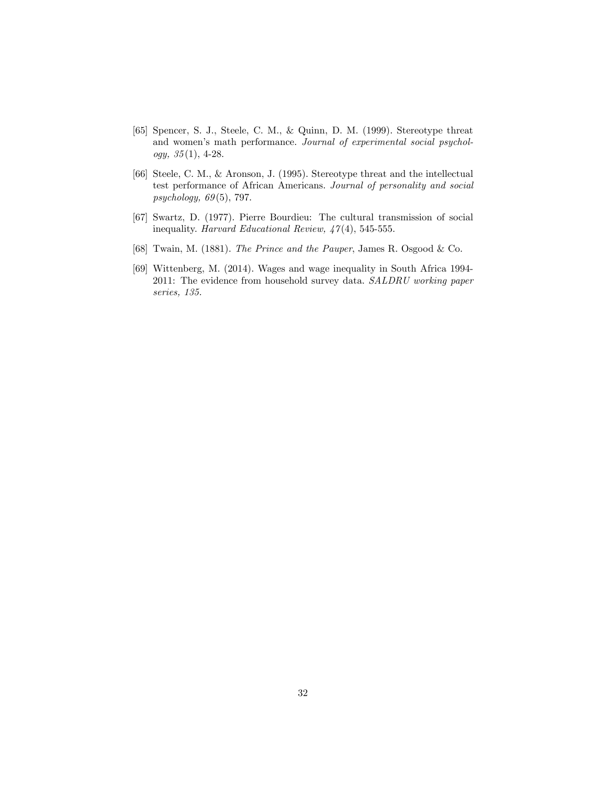- [65] Spencer, S. J., Steele, C. M., & Quinn, D. M. (1999). Stereotype threat and women's math performance. Journal of experimental social psychol $ogy, 35(1), 4-28.$
- [66] Steele, C. M., & Aronson, J. (1995). Stereotype threat and the intellectual test performance of African Americans. Journal of personality and social psychology, 69 (5), 797.
- [67] Swartz, D. (1977). Pierre Bourdieu: The cultural transmission of social inequality. Harvard Educational Review,  $47(4)$ , 545-555.
- [68] Twain, M. (1881). The Prince and the Pauper, James R. Osgood & Co.
- [69] Wittenberg, M. (2014). Wages and wage inequality in South Africa 1994- 2011: The evidence from household survey data. SALDRU working paper series, 135.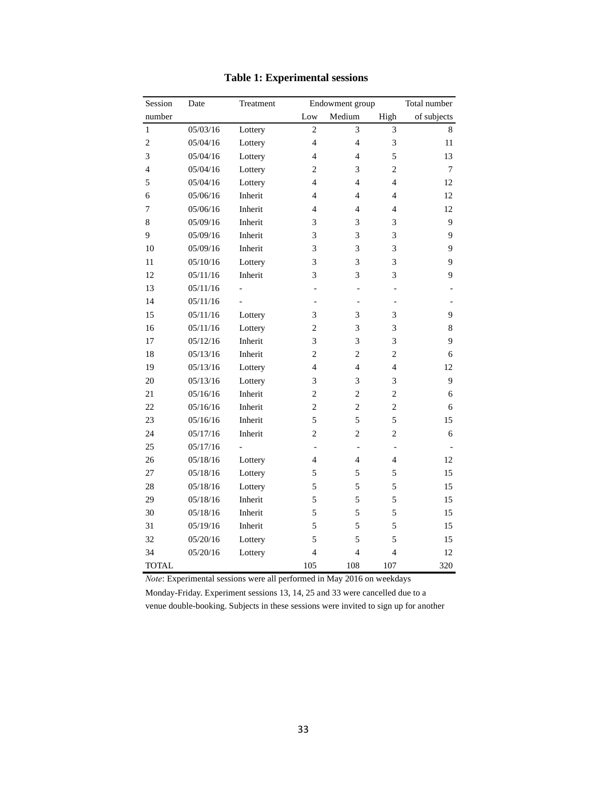| Session      | Date     | Treatment |                | Endowment group<br>Total number |                |             |  |  |
|--------------|----------|-----------|----------------|---------------------------------|----------------|-------------|--|--|
| number       |          |           | Low            | Medium                          | High           | of subjects |  |  |
| $\mathbf{1}$ | 05/03/16 | Lottery   | $\overline{2}$ | 3                               | 3              | 8           |  |  |
| 2            | 05/04/16 | Lottery   | $\overline{4}$ | $\overline{4}$                  | 3              | 11          |  |  |
| 3            | 05/04/16 | Lottery   | $\overline{4}$ | $\overline{4}$                  | 5              | 13          |  |  |
| 4            | 05/04/16 | Lottery   | 2              | 3                               | $\overline{2}$ | 7           |  |  |
| 5            | 05/04/16 | Lottery   | $\overline{4}$ | $\overline{4}$                  | $\overline{4}$ | 12          |  |  |
| 6            | 05/06/16 | Inherit   | $\overline{4}$ | $\overline{4}$                  | $\overline{4}$ | 12          |  |  |
| 7            | 05/06/16 | Inherit   | 4              | 4                               | 4              | 12          |  |  |
| 8            | 05/09/16 | Inherit   | 3              | 3                               | 3              | 9           |  |  |
| 9            | 05/09/16 | Inherit   | 3              | 3                               | 3              | 9           |  |  |
| 10           | 05/09/16 | Inherit   | 3              | 3                               | 3              | 9           |  |  |
| 11           | 05/10/16 | Lottery   | 3              | 3                               | 3              | 9           |  |  |
| 12           | 05/11/16 | Inherit   | 3              | 3                               | 3              | 9           |  |  |
| 13           | 05/11/16 |           |                | $\overline{a}$                  | $\overline{a}$ |             |  |  |
| 14           | 05/11/16 |           |                | ÷,                              |                |             |  |  |
| 15           | 05/11/16 | Lottery   | 3              | 3                               | 3              | 9           |  |  |
| 16           | 05/11/16 | Lottery   | $\overline{c}$ | 3                               | 3              | $\,$ 8 $\,$ |  |  |
| 17           | 05/12/16 | Inherit   | 3              | 3                               | 3              | 9           |  |  |
| 18           | 05/13/16 | Inherit   | $\overline{c}$ | $\overline{c}$                  | $\overline{c}$ | 6           |  |  |
| 19           | 05/13/16 | Lottery   | $\overline{4}$ | $\overline{4}$                  | $\overline{4}$ | 12          |  |  |
| 20           | 05/13/16 | Lottery   | 3              | 3                               | 3              | 9           |  |  |
| 21           | 05/16/16 | Inherit   | $\overline{c}$ | $\overline{c}$                  | $\overline{c}$ | 6           |  |  |
| 22           | 05/16/16 | Inherit   | $\overline{c}$ | $\overline{c}$                  | $\overline{c}$ | 6           |  |  |
| 23           | 05/16/16 | Inherit   | 5              | 5                               | 5              | 15          |  |  |
| 24           | 05/17/16 | Inherit   | $\overline{2}$ | $\overline{2}$                  | $\overline{c}$ | 6           |  |  |
| 25           | 05/17/16 |           |                | $\blacksquare$                  |                |             |  |  |
| 26           | 05/18/16 | Lottery   | 4              | 4                               | 4              | 12          |  |  |
| 27           | 05/18/16 | Lottery   | 5              | 5                               | 5              | 15          |  |  |
| 28           | 05/18/16 | Lottery   | 5              | 5                               | 5              | 15          |  |  |
| 29           | 05/18/16 | Inherit   | 5              | 5                               | 5              | 15          |  |  |
| 30           | 05/18/16 | Inherit   | 5              | 5                               | 5              | 15          |  |  |
| 31           | 05/19/16 | Inherit   | 5              | 5                               | 5              | 15          |  |  |
| 32           | 05/20/16 | Lottery   | 5              | 5                               | 5              | 15          |  |  |
| 34           | 05/20/16 | Lottery   | $\overline{4}$ | $\overline{4}$                  | $\overline{4}$ | 12          |  |  |
| <b>TOTAL</b> |          |           | 105            | 108                             | 107            | 320         |  |  |

## **Table 1: Experimental sessions**

*Note*: Experimental sessions were all performed in May 2016 on weekdays

Monday-Friday. Experiment sessions 13, 14, 25 and 33 were cancelled due to a venue double-booking. Subjects in these sessions were invited to sign up for another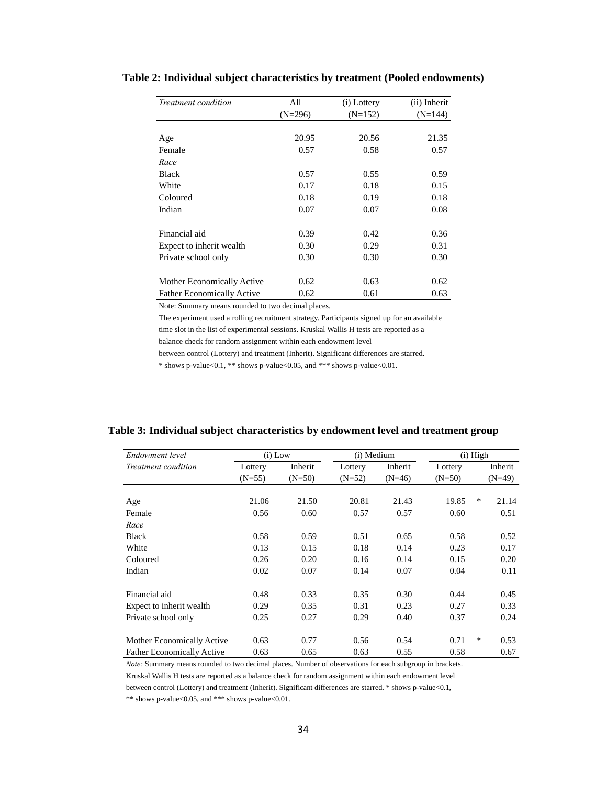| Treatment condition               | All       | (i) Lottery | (ii) Inherit |
|-----------------------------------|-----------|-------------|--------------|
|                                   | $(N=296)$ | $(N=152)$   | $(N=144)$    |
|                                   |           |             |              |
| Age                               | 20.95     | 20.56       | 21.35        |
| Female                            | 0.57      | 0.58        | 0.57         |
| Race                              |           |             |              |
| <b>Black</b>                      | 0.57      | 0.55        | 0.59         |
| White                             | 0.17      | 0.18        | 0.15         |
| Coloured                          | 0.18      | 0.19        | 0.18         |
| Indian                            | 0.07      | 0.07        | 0.08         |
|                                   |           |             |              |
| Financial aid                     | 0.39      | 0.42        | 0.36         |
| Expect to inherit wealth          | 0.30      | 0.29        | 0.31         |
| Private school only               | 0.30      | 0.30        | 0.30         |
|                                   |           |             |              |
| Mother Economically Active        | 0.62      | 0.63        | 0.62         |
| <b>Father Economically Active</b> | 0.62      | 0.61        | 0.63         |

## **Table 2: Individual subject characteristics by treatment (Pooled endowments)**

Note: Summary means rounded to two decimal places.

The experiment used a rolling recruitment strategy. Participants signed up for an available time slot in the list of experimental sessions. Kruskal Wallis H tests are reported as a balance check for random assignment within each endowment level

between control (Lottery) and treatment (Inherit). Significant differences are starred.

\* shows p-value<0.1, \*\* shows p-value<0.05, and \*\*\* shows p-value<0.01.

| Table 3: Individual subject characteristics by endowment level and treatment group |  |  |  |
|------------------------------------------------------------------------------------|--|--|--|
|------------------------------------------------------------------------------------|--|--|--|

| Endowment level                   | $(i)$ Low |          | (i) Medium |          |          | $(i)$ High |          |
|-----------------------------------|-----------|----------|------------|----------|----------|------------|----------|
| Treatment condition               | Lottery   | Inherit  | Lottery    | Inherit  | Lottery  |            | Inherit  |
|                                   | $(N=55)$  | $(N=50)$ | $(N=52)$   | $(N=46)$ | $(N=50)$ |            | $(N=49)$ |
|                                   |           |          |            |          |          |            |          |
| Age                               | 21.06     | 21.50    | 20.81      | 21.43    | 19.85    | *          | 21.14    |
| Female                            | 0.56      | 0.60     | 0.57       | 0.57     | 0.60     |            | 0.51     |
| Race                              |           |          |            |          |          |            |          |
| <b>Black</b>                      | 0.58      | 0.59     | 0.51       | 0.65     | 0.58     |            | 0.52     |
| White                             | 0.13      | 0.15     | 0.18       | 0.14     | 0.23     |            | 0.17     |
| Coloured                          | 0.26      | 0.20     | 0.16       | 0.14     | 0.15     |            | 0.20     |
| Indian                            | 0.02      | 0.07     | 0.14       | 0.07     | 0.04     |            | 0.11     |
|                                   |           |          |            |          |          |            |          |
| Financial aid                     | 0.48      | 0.33     | 0.35       | 0.30     | 0.44     |            | 0.45     |
| Expect to inherit wealth          | 0.29      | 0.35     | 0.31       | 0.23     | 0.27     |            | 0.33     |
| Private school only               | 0.25      | 0.27     | 0.29       | 0.40     | 0.37     |            | 0.24     |
|                                   |           |          |            |          |          |            |          |
| Mother Economically Active        | 0.63      | 0.77     | 0.56       | 0.54     | 0.71     | *          | 0.53     |
| <b>Father Economically Active</b> | 0.63      | 0.65     | 0.63       | 0.55     | 0.58     |            | 0.67     |

*Note*: Summary means rounded to two decimal places. Number of observations for each subgroup in brackets.

Kruskal Wallis H tests are reported as a balance check for random assignment within each endowment level

between control (Lottery) and treatment (Inherit). Significant differences are starred. \* shows p-value<0.1,

\*\* shows p-value<0.05, and \*\*\* shows p-value<0.01.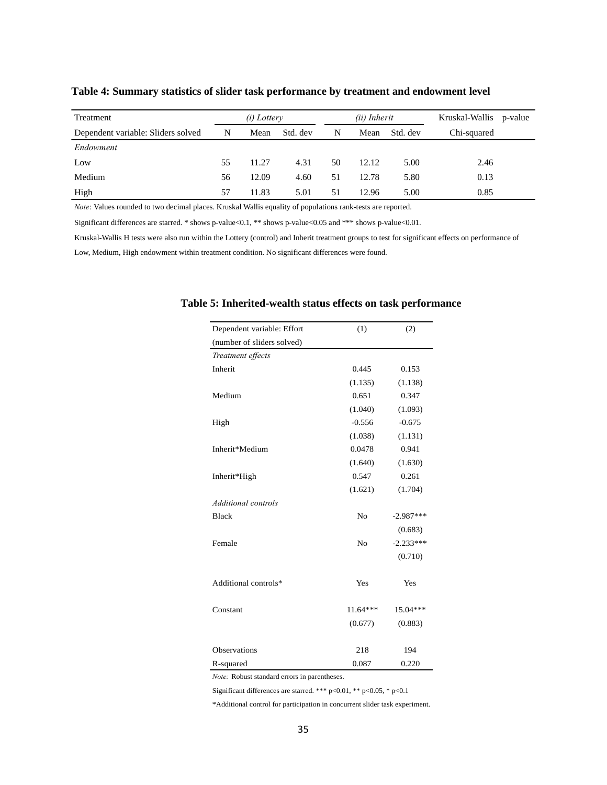| Treatment                          |    | <i>(i)</i> Lottery |          | (ii) Inherit |       |          | Kruskal-Wallis<br>p-value |  |
|------------------------------------|----|--------------------|----------|--------------|-------|----------|---------------------------|--|
| Dependent variable: Sliders solved | N  | Mean               | Std. dev | N            | Mean  | Std. dev | Chi-squared               |  |
| Endowment                          |    |                    |          |              |       |          |                           |  |
| Low                                | 55 | 11.27              | 4.31     | 50           | 12.12 | 5.00     | 2.46                      |  |
| Medium                             | 56 | 12.09              | 4.60     | 51           | 12.78 | 5.80     | 0.13                      |  |
| High                               | 57 | 11.83              | 5.01     | 51           | 12.96 | 5.00     | 0.85                      |  |

#### **Table 4: Summary statistics of slider task performance by treatment and endowment level**

*Note*: Values rounded to two decimal places. Kruskal Wallis equality of populations rank-tests are reported.

Significant differences are starred. \* shows p-value<0.1, \*\* shows p-value<0.05 and \*\*\* shows p-value<0.01.

Kruskal-Wallis H tests were also run within the Lottery (control) and Inherit treatment groups to test for significant effects on performance of

Low, Medium, High endowment within treatment condition. No significant differences were found.

| Dependent variable: Effort | (1)            | (2)         |
|----------------------------|----------------|-------------|
| (number of sliders solved) |                |             |
| Treatment effects          |                |             |
| <b>Inherit</b>             | 0.445          | 0.153       |
|                            | (1.135)        | (1.138)     |
| Medium                     | 0.651          | 0.347       |
|                            | (1.040)        | (1.093)     |
| High                       | $-0.556$       | $-0.675$    |
|                            | (1.038)        | (1.131)     |
| Inherit*Medium             | 0.0478         | 0.941       |
|                            | (1.640)        | (1.630)     |
| Inherit*High               | 0.547          | 0.261       |
|                            | (1.621)        | (1.704)     |
| <b>Additional controls</b> |                |             |
| <b>Black</b>               | N <sub>o</sub> | $-2.987***$ |
|                            |                | (0.683)     |
| Female                     | N <sub>o</sub> | $-2.233***$ |
|                            |                | (0.710)     |
| Additional controls*       | Yes            | Yes         |
| Constant                   | $11.64***$     | $15.04***$  |
|                            | (0.677)        | (0.883)     |
| Observations               | 218            | 194         |
| R-squared                  | 0.087          | 0.220       |

#### **Table 5: Inherited-wealth status effects on task performance**

*Note:* Robust standard errors in parentheses.

Significant differences are starred. \*\*\* p<0.01, \*\* p<0.05, \* p<0.1

\*Additional control for participation in concurrent slider task experiment.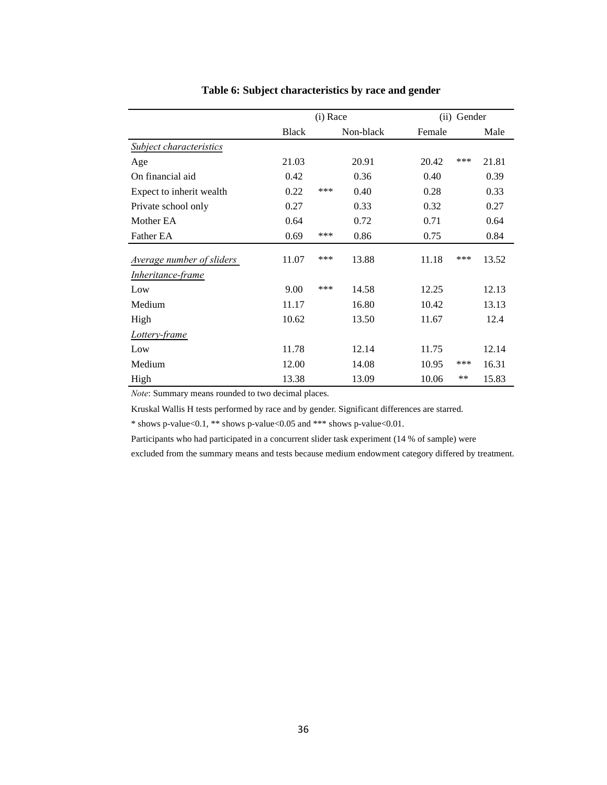|                           | (i) Race     |     |           | (ii) Gender |       |       |
|---------------------------|--------------|-----|-----------|-------------|-------|-------|
|                           | <b>Black</b> |     | Non-black | Female      |       | Male  |
| Subject characteristics   |              |     |           |             |       |       |
| Age                       | 21.03        |     | 20.91     | 20.42       | ***   | 21.81 |
| On financial aid          | 0.42         |     | 0.36      | 0.40        |       | 0.39  |
| Expect to inherit wealth  | 0.22         | *** | 0.40      | 0.28        |       | 0.33  |
| Private school only       | 0.27         |     | 0.33      | 0.32        |       | 0.27  |
| Mother EA                 | 0.64         |     | 0.72      | 0.71        |       | 0.64  |
| Father EA                 | 0.69         | *** | 0.86      | 0.75        |       | 0.84  |
| Average number of sliders | 11.07        | *** | 13.88     | 11.18       | ***   | 13.52 |
| <i>Inheritance-frame</i>  |              |     |           |             |       |       |
| Low                       | 9.00         | *** | 14.58     | 12.25       |       | 12.13 |
| Medium                    | 11.17        |     | 16.80     | 10.42       |       | 13.13 |
| High                      | 10.62        |     | 13.50     | 11.67       |       | 12.4  |
| Lottery-frame             |              |     |           |             |       |       |
| Low                       | 11.78        |     | 12.14     | 11.75       |       | 12.14 |
| Medium                    | 12.00        |     | 14.08     | 10.95       | ***   | 16.31 |
| High                      | 13.38        |     | 13.09     | 10.06       | $***$ | 15.83 |

#### **Table 6: Subject characteristics by race and gender**

*Note*: Summary means rounded to two decimal places.

Kruskal Wallis H tests performed by race and by gender. Significant differences are starred.

\* shows p-value<0.1, \*\* shows p-value<0.05 and \*\*\* shows p-value<0.01.

Participants who had participated in a concurrent slider task experiment (14 % of sample) were

excluded from the summary means and tests because medium endowment category differed by treatment.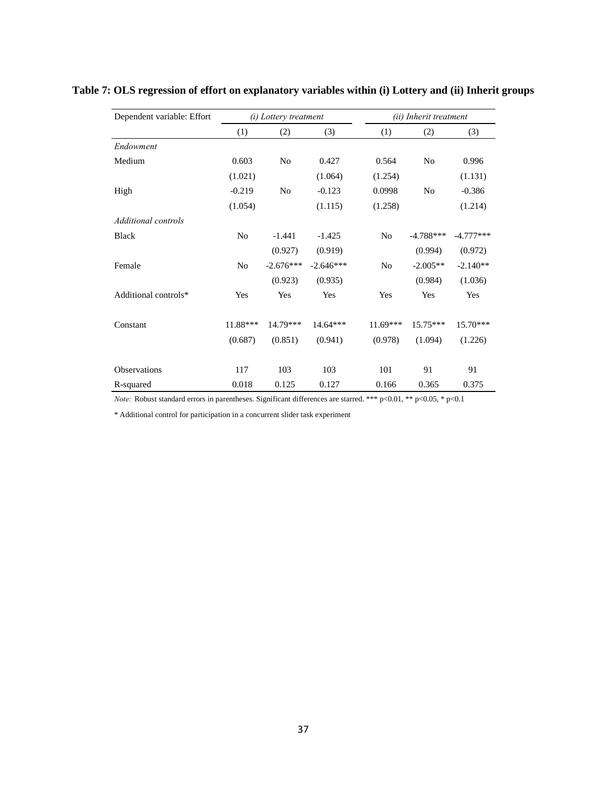| Dependent variable: Effort |                | ( <i>i</i> ) Lottery treatment |             |                | (ii) Inherit treatment |             |  |
|----------------------------|----------------|--------------------------------|-------------|----------------|------------------------|-------------|--|
|                            | (1)            | (2)                            | (3)         | (1)            | (2)                    | (3)         |  |
| Endowment                  |                |                                |             |                |                        |             |  |
| Medium                     | 0.603          | N <sub>0</sub>                 | 0.427       | 0.564          | N <sub>o</sub>         | 0.996       |  |
|                            | (1.021)        |                                | (1.064)     | (1.254)        |                        | (1.131)     |  |
| High                       | $-0.219$       | N <sub>0</sub>                 | $-0.123$    | 0.0998         | N <sub>0</sub>         | $-0.386$    |  |
|                            | (1.054)        |                                | (1.115)     | (1.258)        |                        | (1.214)     |  |
| Additional controls        |                |                                |             |                |                        |             |  |
| <b>Black</b>               | N <sub>0</sub> | $-1.441$                       | $-1.425$    | No             | $-4.788***$            | $-4.777***$ |  |
|                            |                | (0.927)                        | (0.919)     |                | (0.994)                | (0.972)     |  |
| Female                     | N <sub>0</sub> | $-2.676***$                    | $-2.646***$ | N <sub>0</sub> | $-2.005**$             | $-2.140**$  |  |
|                            |                | (0.923)                        | (0.935)     |                | (0.984)                | (1.036)     |  |
| Additional controls*       | Yes            | Yes                            | Yes         | Yes            | Yes                    | Yes         |  |
|                            |                |                                |             |                |                        |             |  |
| Constant                   | 11.88***       | 14.79***                       | $14.64***$  | $11.69***$     | $15.75***$             | 15.70***    |  |
|                            | (0.687)        | (0.851)                        | (0.941)     | (0.978)        | (1.094)                | (1.226)     |  |
| Observations               | 117            | 103                            | 103         | 101            | 91                     | 91          |  |
| R-squared                  | 0.018          | 0.125                          | 0.127       | 0.166          | 0.365                  | 0.375       |  |

## **Table 7: OLS regression of effort on explanatory variables within (i) Lottery and (ii) Inherit groups**

*Note:* Robust standard errors in parentheses. Significant differences are starred. \*\*\* p<0.01, \*\* p<0.05, \* p<0.1

\* Additional control for participation in a concurrent slider task experiment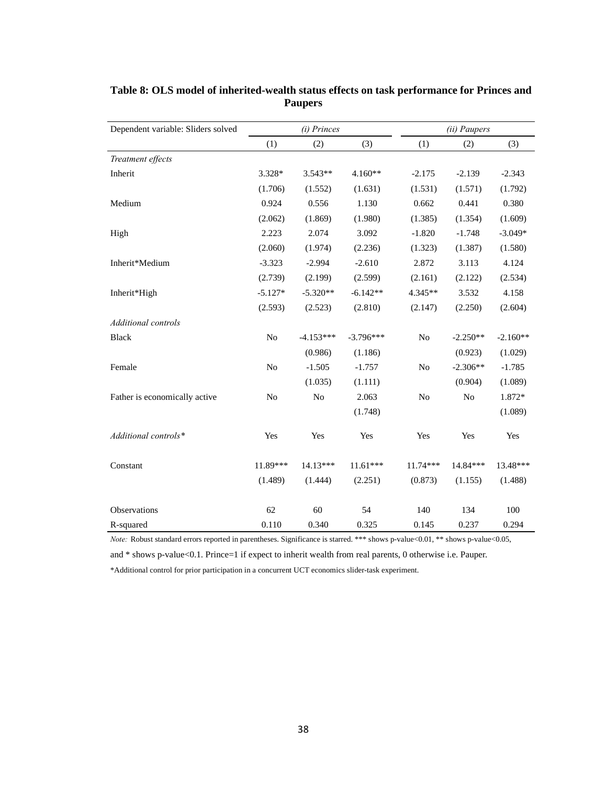| Dependent variable: Sliders solved |                | (i) Princes    |             | (ii) Paupers |                |            |  |
|------------------------------------|----------------|----------------|-------------|--------------|----------------|------------|--|
|                                    | (1)            | (2)            | (3)         | (1)          | (2)            | (3)        |  |
| Treatment effects                  |                |                |             |              |                |            |  |
| Inherit                            | 3.328*         | 3.543**        | $4.160**$   | $-2.175$     | $-2.139$       | $-2.343$   |  |
|                                    | (1.706)        | (1.552)        | (1.631)     | (1.531)      | (1.571)        | (1.792)    |  |
| Medium                             | 0.924          | 0.556          | 1.130       | 0.662        | 0.441          | 0.380      |  |
|                                    | (2.062)        | (1.869)        | (1.980)     | (1.385)      | (1.354)        | (1.609)    |  |
| High                               | 2.223          | 2.074          | 3.092       | $-1.820$     | $-1.748$       | $-3.049*$  |  |
|                                    | (2.060)        | (1.974)        | (2.236)     | (1.323)      | (1.387)        | (1.580)    |  |
| Inherit*Medium                     | $-3.323$       | $-2.994$       | $-2.610$    | 2.872        | 3.113          | 4.124      |  |
|                                    | (2.739)        | (2.199)        | (2.599)     | (2.161)      | (2.122)        | (2.534)    |  |
| Inherit*High                       | $-5.127*$      | $-5.320**$     | $-6.142**$  | $4.345**$    | 3.532          | 4.158      |  |
|                                    | (2.593)        | (2.523)        | (2.810)     | (2.147)      | (2.250)        | (2.604)    |  |
| Additional controls                |                |                |             |              |                |            |  |
| <b>Black</b>                       | N <sub>o</sub> | $-4.153***$    | $-3.796***$ | No           | $-2.250**$     | $-2.160**$ |  |
|                                    |                | (0.986)        | (1.186)     |              | (0.923)        | (1.029)    |  |
| Female                             | No             | $-1.505$       | $-1.757$    | $\rm No$     | $-2.306**$     | $-1.785$   |  |
|                                    |                | (1.035)        | (1.111)     |              | (0.904)        | (1.089)    |  |
| Father is economically active      | N <sub>o</sub> | N <sub>0</sub> | 2.063       | $\rm No$     | N <sub>o</sub> | 1.872*     |  |
|                                    |                |                | (1.748)     |              |                | (1.089)    |  |
| Additional controls*               | Yes            | Yes            | Yes         | Yes          | Yes            | Yes        |  |
| Constant                           | 11.89***       | $14.13***$     | $11.61***$  | $11.74***$   | 14.84 ***      | 13.48***   |  |
|                                    | (1.489)        | (1.444)        | (2.251)     | (0.873)      | (1.155)        | (1.488)    |  |
| <b>Observations</b>                | 62             | 60             | 54          | 140          | 134            | 100        |  |
| R-squared                          | 0.110          | 0.340          | 0.325       | 0.145        | 0.237          | 0.294      |  |

## **Table 8: OLS model of inherited-wealth status effects on task performance for Princes and Paupers**

*Note:* Robust standard errors reported in parentheses. Significance is starred. \*\*\* shows p-value<0.01, \*\* shows p-value<0.05,

and \* shows p-value<0.1. Prince=1 if expect to inherit wealth from real parents, 0 otherwise i.e. Pauper.

\*Additional control for prior participation in a concurrent UCT economics slider-task experiment.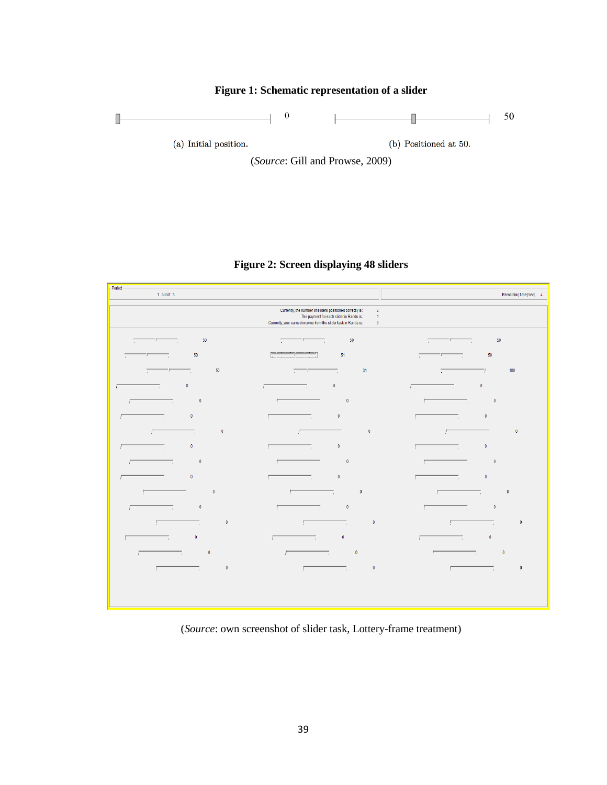

## **Figure 2: Screen displaying 48 sliders**

| -Period<br>$1$ out of $3$                            |                                                                                                                                                                                                                            | Remaining time [sec]: 4                              |
|------------------------------------------------------|----------------------------------------------------------------------------------------------------------------------------------------------------------------------------------------------------------------------------|------------------------------------------------------|
|                                                      | Currently, the number of sliders positioned correctly is:<br>$\boldsymbol{6}$<br>The payment for each slider in Rands is:<br>$\mathbf{1}$<br>Currently, your earned income from the slider task in Rands is:<br>$\sqrt{6}$ |                                                      |
| $50\,$<br>$\Box$<br>$\mathbf{r}$ .                   | $50\,$<br>Π<br>$\overline{\phantom{a}}$<br>7                                                                                                                                                                               | 50<br>$\overline{\phantom{a}}$<br>Π<br>7             |
| $50\,$<br>$\overline{1}$<br>$\overline{\phantom{a}}$ | 51<br>$\overline{y}$                                                                                                                                                                                                       | $50\,$<br>$\overline{\phantom{a}}$<br>$\overline{1}$ |
| $50\,$<br>Т,<br>$\overline{1}$<br>$ -$               | 31<br>$\overline{\phantom{iiiiiiiiiiiiiiiii}}$<br>Т,                                                                                                                                                                       | 100<br>$\overline{1}$                                |
| $\pmb{0}$<br>т,<br>Г                                 | $\pmb{0}$<br>т,                                                                                                                                                                                                            | $\pmb{0}$<br>т,<br>Г                                 |
| $\pmb{0}$                                            | $\bullet$                                                                                                                                                                                                                  | $\pmb{0}$                                            |
| $\overline{\phantom{a}}$                             | F                                                                                                                                                                                                                          | $\overline{\phantom{a}}$                             |
| Г                                                    | $\overline{\phantom{a}}$                                                                                                                                                                                                   | Г                                                    |
| $\pmb{0}$                                            | $\pmb{0}$                                                                                                                                                                                                                  | $\pmb{0}$                                            |
| Г                                                    | Γ                                                                                                                                                                                                                          | F                                                    |
| $\overline{\phantom{a}}$                             | $\sim$ 100 $\mu$                                                                                                                                                                                                           | $\overline{\phantom{a}}$                             |
| $\pmb{0}$                                            | $\bullet$                                                                                                                                                                                                                  | $\pmb{0}$                                            |
| 厂                                                    | Γ                                                                                                                                                                                                                          | F                                                    |
| —.                                                   | $\overline{\phantom{a}}$                                                                                                                                                                                                   | —                                                    |
| $\pmb{0}$                                            | $\pmb{0}$                                                                                                                                                                                                                  | $\bullet$                                            |
| Γ                                                    | Γ                                                                                                                                                                                                                          | $\overline{r}$                                       |
| $\overline{\phantom{a}}$                             | —.                                                                                                                                                                                                                         | —.                                                   |
| $\pmb{0}$<br>$\overline{\phantom{a}}$<br>Г           | $\sim$ 0<br>$\overline{\phantom{a}}$<br>F                                                                                                                                                                                  | $\pmb{0}$<br>$\overline{\phantom{a}}$                |
| $\pmb{0}$                                            | $\pmb{0}$                                                                                                                                                                                                                  | $\pmb{0}$                                            |
| т,                                                   | т,                                                                                                                                                                                                                         | т,                                                   |
| $\pmb{0}$<br>$\overline{\phantom{a}}$<br>Г           | $\pmb{0}$<br>$\overline{\phantom{a}}$<br>Г                                                                                                                                                                                 | $\pmb{0}$<br>$\overline{\phantom{a}}$                |
| $\pmb{0}$                                            | $\pmb{0}$                                                                                                                                                                                                                  | $\pmb{0}$                                            |
| F                                                    | F                                                                                                                                                                                                                          | ŗ                                                    |
| $\overline{\phantom{a}}$                             | т,                                                                                                                                                                                                                         | $\overline{\phantom{a}}$                             |
| $\pmb{0}$                                            | $\pmb{0}$                                                                                                                                                                                                                  | $\pmb{0}$                                            |
| т,                                                   | F                                                                                                                                                                                                                          | —                                                    |
| Г                                                    | т,                                                                                                                                                                                                                         | Г                                                    |
| $\pmb{0}$                                            | $\overline{\mathbf{0}}$                                                                                                                                                                                                    | $\pmb{0}$                                            |
| Г                                                    | F                                                                                                                                                                                                                          | Г                                                    |
| —                                                    | $\overline{\phantom{a}}$                                                                                                                                                                                                   | —                                                    |
| $\pmb{0}$                                            | $\pmb{0}$                                                                                                                                                                                                                  | $\pmb{0}$                                            |
| <b>Contract Contract</b>                             | $\overline{ }$                                                                                                                                                                                                             | Г                                                    |
| г                                                    | $\overline{\phantom{a}}$                                                                                                                                                                                                   | $\overline{\phantom{a}}$                             |
| $\pmb{0}$                                            | $\pmb{0}$                                                                                                                                                                                                                  | $\mathbf 0$                                          |
| Г                                                    | Г                                                                                                                                                                                                                          | Г                                                    |
| $\overline{\phantom{a}}$                             | $\overline{\phantom{a}}$                                                                                                                                                                                                   | $\overline{\phantom{a}}$                             |
|                                                      |                                                                                                                                                                                                                            |                                                      |
|                                                      |                                                                                                                                                                                                                            |                                                      |

(*Source*: own screenshot of slider task, Lottery-frame treatment)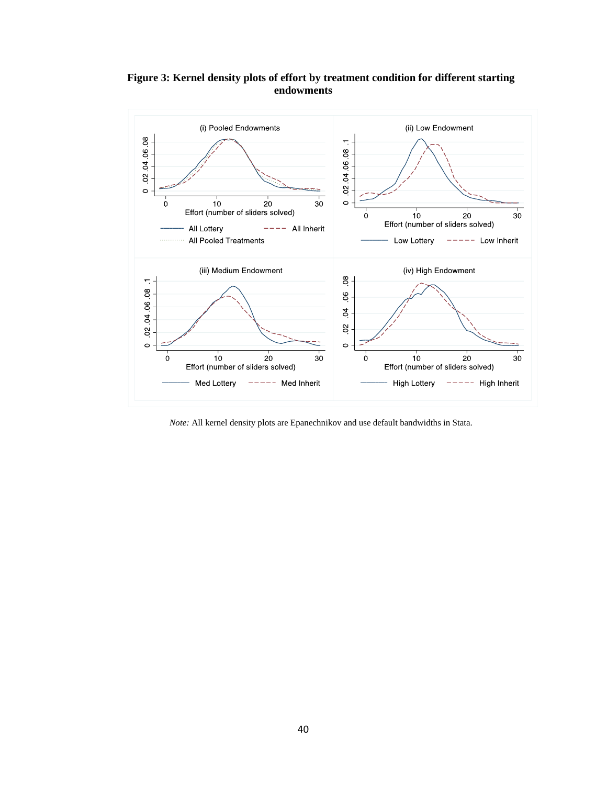

**Figure 3: Kernel density plots of effort by treatment condition for different starting endowments**

*Note:* All kernel density plots are Epanechnikov and use default bandwidths in Stata.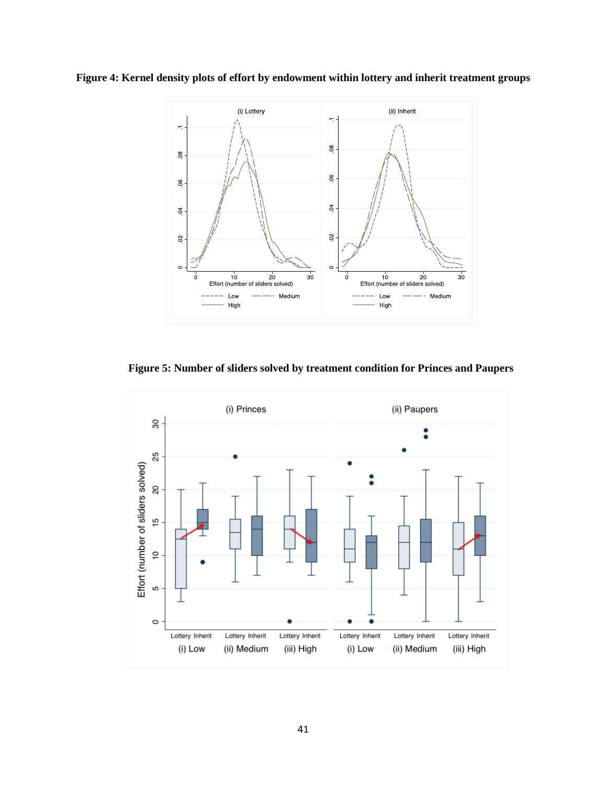**Figure 4: Kernel density plots of effort by endowment within lottery and inherit treatment groups**



**Figure 5: Number of sliders solved by treatment condition for Princes and Paupers**

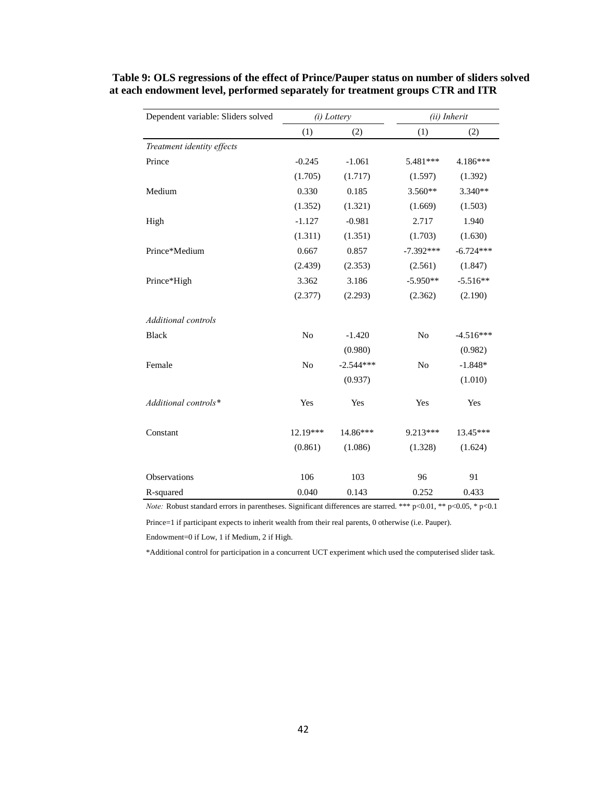| Dependent variable: Sliders solved |                | (i) Lottery |                | (ii) Inherit |
|------------------------------------|----------------|-------------|----------------|--------------|
|                                    | (1)            | (2)         | (1)            | (2)          |
| Treatment identity effects         |                |             |                |              |
| Prince                             | $-0.245$       | $-1.061$    | 5.481***       | 4.186***     |
|                                    | (1.705)        | (1.717)     | (1.597)        | (1.392)      |
| Medium                             | 0.330          | 0.185       | 3.560**        | $3.340**$    |
|                                    | (1.352)        | (1.321)     | (1.669)        | (1.503)      |
| High                               | $-1.127$       | $-0.981$    | 2.717          | 1.940        |
|                                    | (1.311)        | (1.351)     | (1.703)        | (1.630)      |
| Prince*Medium                      | 0.667          | 0.857       | $-7.392***$    | $-6.724***$  |
|                                    | (2.439)        | (2.353)     | (2.561)        | (1.847)      |
| Prince*High                        | 3.362          | 3.186       | $-5.950**$     | $-5.516**$   |
|                                    | (2.377)        | (2.293)     | (2.362)        | (2.190)      |
| Additional controls                |                |             |                |              |
| <b>Black</b>                       | N <sub>o</sub> | $-1.420$    | N <sub>o</sub> | $-4.516***$  |
|                                    |                | (0.980)     |                | (0.982)      |
| Female                             | N <sub>o</sub> | $-2.544***$ | N <sub>o</sub> | $-1.848*$    |
|                                    |                | (0.937)     |                | (1.010)      |
| Additional controls*               | Yes            | Yes         | Yes            | Yes          |
| Constant                           | 12.19***       | 14.86***    | 9.213***       | 13.45***     |
|                                    | (0.861)        | (1.086)     | (1.328)        | (1.624)      |
| Observations                       | 106            | 103         | 96             | 91           |
|                                    |                |             |                |              |
| R-squared                          | 0.040          | 0.143       | 0.252          | 0.433        |

## **Table 9: OLS regressions of the effect of Prince/Pauper status on number of sliders solved at each endowment level, performed separately for treatment groups CTR and ITR**

*Note:* Robust standard errors in parentheses. Significant differences are starred. \*\*\* p<0.01, \*\* p<0.05, \* p<0.1

Prince=1 if participant expects to inherit wealth from their real parents, 0 otherwise (i.e. Pauper).

Endowment=0 if Low, 1 if Medium, 2 if High.

\*Additional control for participation in a concurrent UCT experiment which used the computerised slider task.